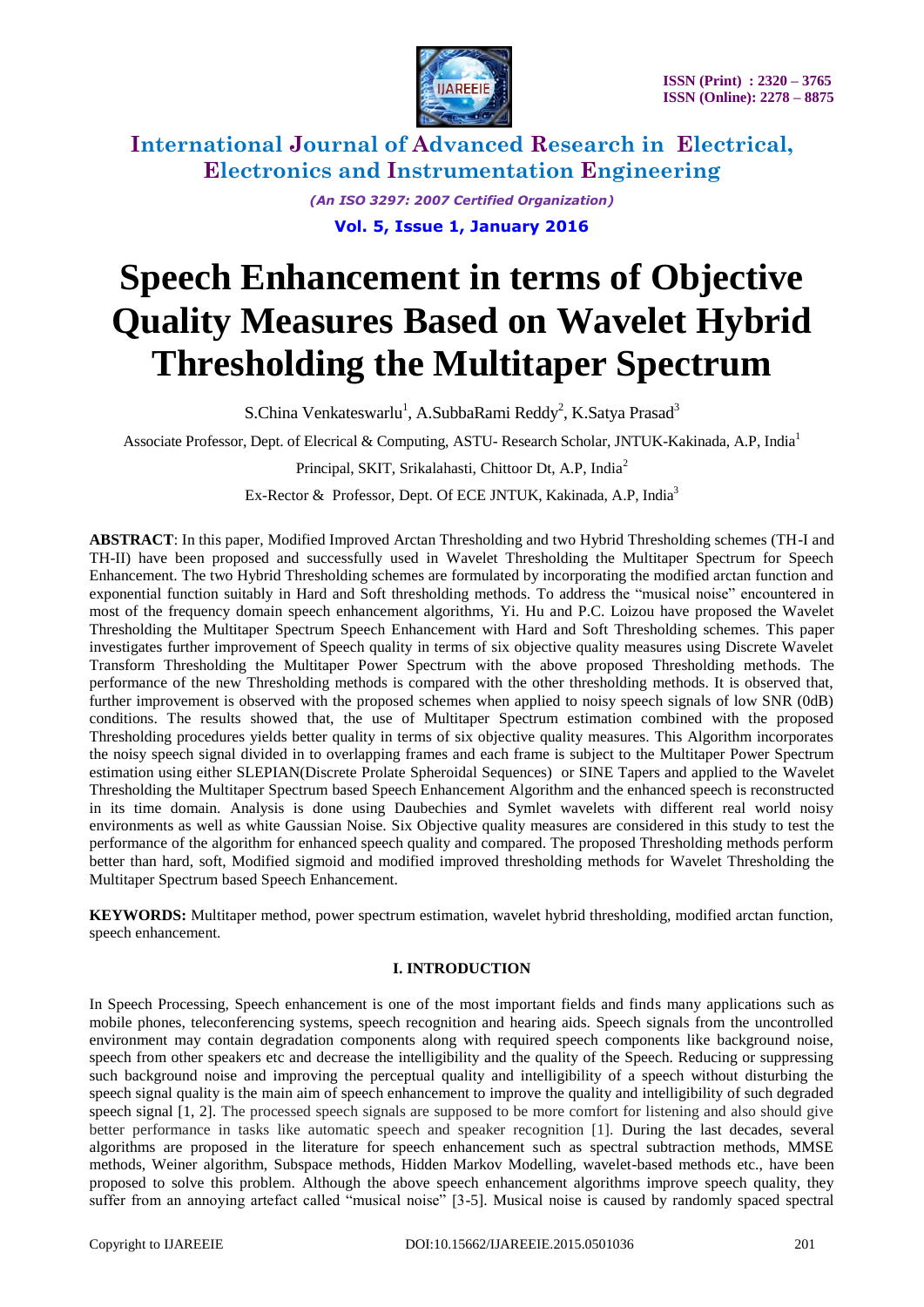

> *(An ISO 3297: 2007 Certified Organization)* **Vol. 5, Issue 1, January 2016**

# **Speech Enhancement in terms of Objective Quality Measures Based on Wavelet Hybrid Thresholding the Multitaper Spectrum**

S.China Venkateswarlu<sup>1</sup>, A.SubbaRami Reddy<sup>2</sup>, K.Satya Prasad<sup>3</sup>

Associate Professor, Dept. of Elecrical & Computing, ASTU- Research Scholar, JNTUK-Kakinada, A.P, India<sup>1</sup>

Principal, SKIT, Srikalahasti, Chittoor Dt, A.P, India<sup>2</sup>

Ex-Rector & Professor, Dept. Of ECE JNTUK, Kakinada, A.P, India<sup>3</sup>

**ABSTRACT**: In this paper, Modified Improved Arctan Thresholding and two Hybrid Thresholding schemes (TH-I and TH-II) have been proposed and successfully used in Wavelet Thresholding the Multitaper Spectrum for Speech Enhancement. The two Hybrid Thresholding schemes are formulated by incorporating the modified arctan function and exponential function suitably in Hard and Soft thresholding methods. To address the "musical noise" encountered in most of the frequency domain speech enhancement algorithms, Yi. Hu and P.C. Loizou have proposed the Wavelet Thresholding the Multitaper Spectrum Speech Enhancement with Hard and Soft Thresholding schemes. This paper investigates further improvement of Speech quality in terms of six objective quality measures using Discrete Wavelet Transform Thresholding the Multitaper Power Spectrum with the above proposed Thresholding methods. The performance of the new Thresholding methods is compared with the other thresholding methods. It is observed that, further improvement is observed with the proposed schemes when applied to noisy speech signals of low SNR (0dB) conditions. The results showed that, the use of Multitaper Spectrum estimation combined with the proposed Thresholding procedures yields better quality in terms of six objective quality measures. This Algorithm incorporates the noisy speech signal divided in to overlapping frames and each frame is subject to the Multitaper Power Spectrum estimation using either SLEPIAN(Discrete Prolate Spheroidal Sequences) or SINE Tapers and applied to the Wavelet Thresholding the Multitaper Spectrum based Speech Enhancement Algorithm and the enhanced speech is reconstructed in its time domain. Analysis is done using Daubechies and Symlet wavelets with different real world noisy environments as well as white Gaussian Noise. Six Objective quality measures are considered in this study to test the performance of the algorithm for enhanced speech quality and compared. The proposed Thresholding methods perform better than hard, soft, Modified sigmoid and modified improved thresholding methods for Wavelet Thresholding the Multitaper Spectrum based Speech Enhancement.

**KEYWORDS:** Multitaper method, power spectrum estimation, wavelet hybrid thresholding, modified arctan function, speech enhancement.

#### **I. INTRODUCTION**

In Speech Processing, Speech enhancement is one of the most important fields and finds many applications such as mobile phones, teleconferencing systems, speech recognition and hearing aids. Speech signals from the uncontrolled environment may contain degradation components along with required speech components like background noise, speech from other speakers etc and decrease the intelligibility and the quality of the Speech. Reducing or suppressing such background noise and improving the perceptual quality and intelligibility of a speech without disturbing the speech signal quality is the main aim of speech enhancement to improve the quality and intelligibility of such degraded speech signal [1, 2]. The processed speech signals are supposed to be more comfort for listening and also should give better performance in tasks like automatic speech and speaker recognition [1]. During the last decades, several algorithms are proposed in the literature for speech enhancement such as spectral subtraction methods, MMSE methods, Weiner algorithm, Subspace methods, Hidden Markov Modelling, wavelet-based methods etc., have been proposed to solve this problem. Although the above speech enhancement algorithms improve speech quality, they suffer from an annoying artefact called "musical noise" [3-5]. Musical noise is caused by randomly spaced spectral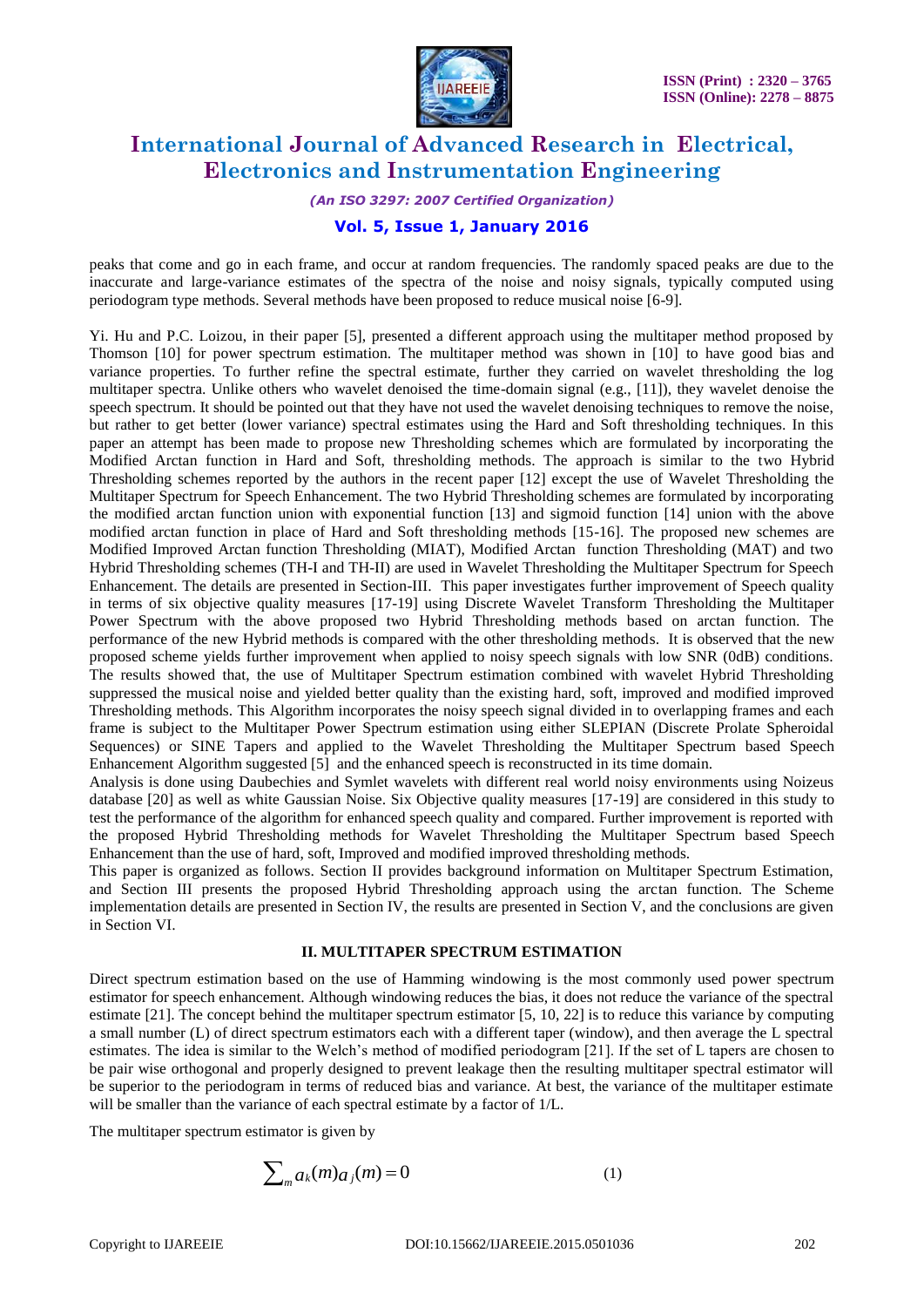

*(An ISO 3297: 2007 Certified Organization)*

#### **Vol. 5, Issue 1, January 2016**

peaks that come and go in each frame, and occur at random frequencies. The randomly spaced peaks are due to the inaccurate and large-variance estimates of the spectra of the noise and noisy signals, typically computed using periodogram type methods. Several methods have been proposed to reduce musical noise [6-9].

Yi. Hu and P.C. Loizou, in their paper [5], presented a different approach using the multitaper method proposed by Thomson [10] for power spectrum estimation. The multitaper method was shown in [10] to have good bias and variance properties. To further refine the spectral estimate, further they carried on wavelet thresholding the log multitaper spectra. Unlike others who wavelet denoised the time-domain signal (e.g., [11]), they wavelet denoise the speech spectrum. It should be pointed out that they have not used the wavelet denoising techniques to remove the noise, but rather to get better (lower variance) spectral estimates using the Hard and Soft thresholding techniques. In this paper an attempt has been made to propose new Thresholding schemes which are formulated by incorporating the Modified Arctan function in Hard and Soft, thresholding methods. The approach is similar to the two Hybrid Thresholding schemes reported by the authors in the recent paper [12] except the use of Wavelet Thresholding the Multitaper Spectrum for Speech Enhancement. The two Hybrid Thresholding schemes are formulated by incorporating the modified arctan function union with exponential function [13] and sigmoid function [14] union with the above modified arctan function in place of Hard and Soft thresholding methods [15-16]. The proposed new schemes are Modified Improved Arctan function Thresholding (MIAT), Modified Arctan function Thresholding (MAT) and two Hybrid Thresholding schemes (TH-I and TH-II) are used in Wavelet Thresholding the Multitaper Spectrum for Speech Enhancement. The details are presented in Section-III. This paper investigates further improvement of Speech quality in terms of six objective quality measures [17-19] using Discrete Wavelet Transform Thresholding the Multitaper Power Spectrum with the above proposed two Hybrid Thresholding methods based on arctan function. The performance of the new Hybrid methods is compared with the other thresholding methods. It is observed that the new proposed scheme yields further improvement when applied to noisy speech signals with low SNR (0dB) conditions. The results showed that, the use of Multitaper Spectrum estimation combined with wavelet Hybrid Thresholding suppressed the musical noise and yielded better quality than the existing hard, soft, improved and modified improved Thresholding methods. This Algorithm incorporates the noisy speech signal divided in to overlapping frames and each frame is subject to the Multitaper Power Spectrum estimation using either SLEPIAN (Discrete Prolate Spheroidal Sequences) or SINE Tapers and applied to the Wavelet Thresholding the Multitaper Spectrum based Speech Enhancement Algorithm suggested [5] and the enhanced speech is reconstructed in its time domain.

Analysis is done using Daubechies and Symlet wavelets with different real world noisy environments using Noizeus database [20] as well as white Gaussian Noise. Six Objective quality measures [17-19] are considered in this study to test the performance of the algorithm for enhanced speech quality and compared. Further improvement is reported with the proposed Hybrid Thresholding methods for Wavelet Thresholding the Multitaper Spectrum based Speech Enhancement than the use of hard, soft, Improved and modified improved thresholding methods.

This paper is organized as follows. Section II provides background information on Multitaper Spectrum Estimation, and Section III presents the proposed Hybrid Thresholding approach using the arctan function. The Scheme implementation details are presented in Section IV, the results are presented in Section V, and the conclusions are given in Section VI.

#### **II. MULTITAPER SPECTRUM ESTIMATION**

Direct spectrum estimation based on the use of Hamming windowing is the most commonly used power spectrum estimator for speech enhancement. Although windowing reduces the bias, it does not reduce the variance of the spectral estimate [21]. The concept behind the multitaper spectrum estimator [5, 10, 22] is to reduce this variance by computing a small number (L) of direct spectrum estimators each with a different taper (window), and then average the L spectral estimates. The idea is similar to the Welch's method of modified periodogram [21]. If the set of L tapers are chosen to be pair wise orthogonal and properly designed to prevent leakage then the resulting multitaper spectral estimator will be superior to the periodogram in terms of reduced bias and variance. At best, the variance of the multitaper estimate will be smaller than the variance of each spectral estimate by a factor of 1/L.

The multitaper spectrum estimator is given by

$$
\sum_{m} a_{k}(m) a_{j}(m) = 0 \tag{1}
$$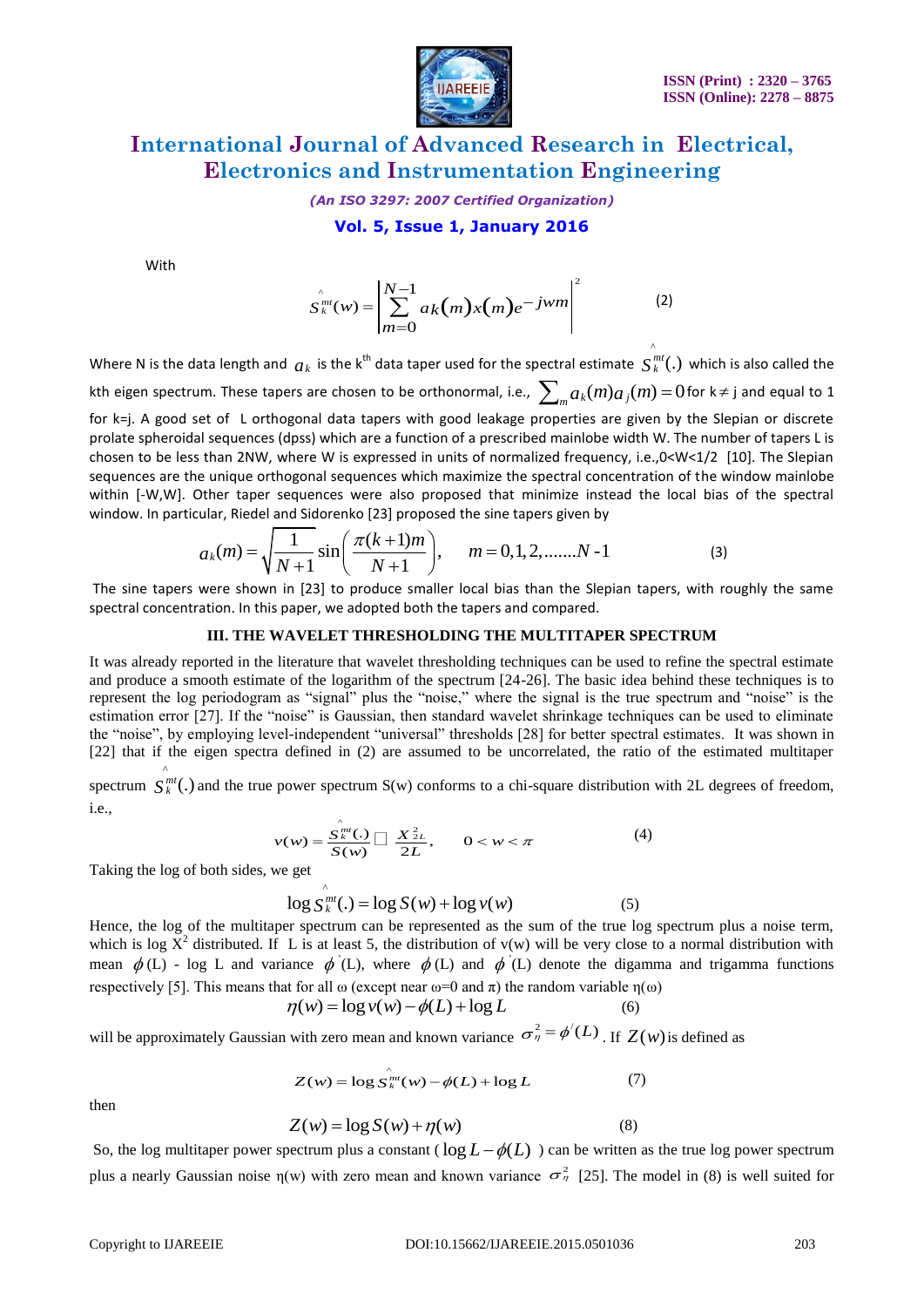

*(An ISO 3297: 2007 Certified Organization)*

#### **Vol. 5, Issue 1, January 2016**

With

$$
S_{k}^{\hat{m}}(w) = \left| \sum_{m=0}^{N-1} a_{k}(m) x(m) e^{-jwm} \right|^{2}
$$
 (2)

Where N is the data length and  $a_k$  is the k<sup>th</sup> data taper used for the spectral estimate  $\stackrel{\sim}{S}_{k}^{mt}$ . which is also called the kth eigen spectrum. These tapers are chosen to be orthonormal, i.e.,  $\sum_m a_k(m) a_j(m)$  =  $0$  for k $\neq$  j and equal to 1 for k=j. A good set of L orthogonal data tapers with good leakage properties are given by the Slepian or discrete prolate spheroidal sequences (dpss) which are a function of a prescribed mainlobe width W. The number of tapers L is chosen to be less than 2NW, where W is expressed in units of normalized frequency, i.e.,0<W<1/2 [10]. The Slepian sequences are the unique orthogonal sequences which maximize the spectral concentration of the window mainlobe within [-W,W]. Other taper sequences were also proposed that minimize instead the local bias of the spectral window. In particular, Riedel and Sidorenko [23] proposed the sine tapers given by  $a_k(m) = \sqrt{\frac{1}{N+1}} \sin\left(\frac{\pi(k+1)m$ 

which, 
$$
[0,0]
$$
 is the same value. In particular, Riedel and Sidorenko [23] proposed the sine tapes given by\n
$$
a_k(m) = \sqrt{\frac{1}{N+1}} \sin\left(\frac{\pi(k+1)m}{N+1}\right), \quad m = 0, 1, 2, \dots, N-1
$$
\n(3)

The sine tapers were shown in [23] to produce smaller local bias than the Slepian tapers, with roughly the same spectral concentration. In this paper, we adopted both the tapers and compared.

#### **III. THE WAVELET THRESHOLDING THE MULTITAPER SPECTRUM**

It was already reported in the literature that wavelet thresholding techniques can be used to refine the spectral estimate and produce a smooth estimate of the logarithm of the spectrum [24-26]. The basic idea behind these techniques is to represent the log periodogram as "signal" plus the "noise," where the signal is the true spectrum and "noise" is the estimation error [27]. If the "noise" is Gaussian, then standard wavelet shrinkage techniques can be used to eliminate the "noise", by employing level-independent "universal" thresholds [28] for better spectral estimates. It was shown in [22] that if the eigen spectra defined in (2) are assumed to be uncorrelated, the ratio of the estimated multitaper ^

spectrum  $S_k^{mt}(.)$  and the true power spectrum  $S(w)$  conforms to a chi-square distribution with 2L degrees of freedom, i.e.,

$$
v(w) = \frac{\hat{S}_k^{m}(.)}{S(w)} \prod \frac{X_{2L}^2}{2L}, \qquad 0 < w < \pi \tag{4}
$$

Taking the log of both sides, we get

$$
\log S_W^{\hat{m}t}(\lambda) = \log S(w) + \log v(w)
$$
 (5)

Hence, the log of the multitaper spectrum can be represented as the sum of the true log spectrum plus a noise term, which is log  $X^2$  distributed. If L is at least 5, the distribution of v(w) will be very close to a normal distribution with mean  $\phi$  (L) - log L and variance  $\phi$  (L), where  $\phi$  (L) and  $\phi$  (L) denote the digamma and trigamma functions respectively [5]. This means that for all  $\omega$  (except near  $\omega=0$  and  $\pi$ ) the random variable  $\eta(\omega)$ <br> $\eta(w) = \log v(w) - \phi(L) + \log L$  (6)

$$
\eta(w) = \log v(w) - \phi(L) + \log L \tag{6}
$$

will be approximately Gaussian with zero mean and known variance  $\sigma_{\eta}^2 = \phi'(L)$ . If  $Z(w)$  is defined as

^

$$
Z(w) = \log \stackrel{\wedge}{S}_{k}^{m}(w) - \phi(L) + \log L \tag{7}
$$

then

$$
Z(w) = \log S(w) + \eta(w)
$$
 (8)

So, the log multitaper power spectrum plus a constant ( $\log L - \phi(L)$ ) can be written as the true log power spectrum plus a nearly Gaussian noise  $\eta(w)$  with zero mean and known variance  $\sigma^2$  [25]. The model in (8) is well suited for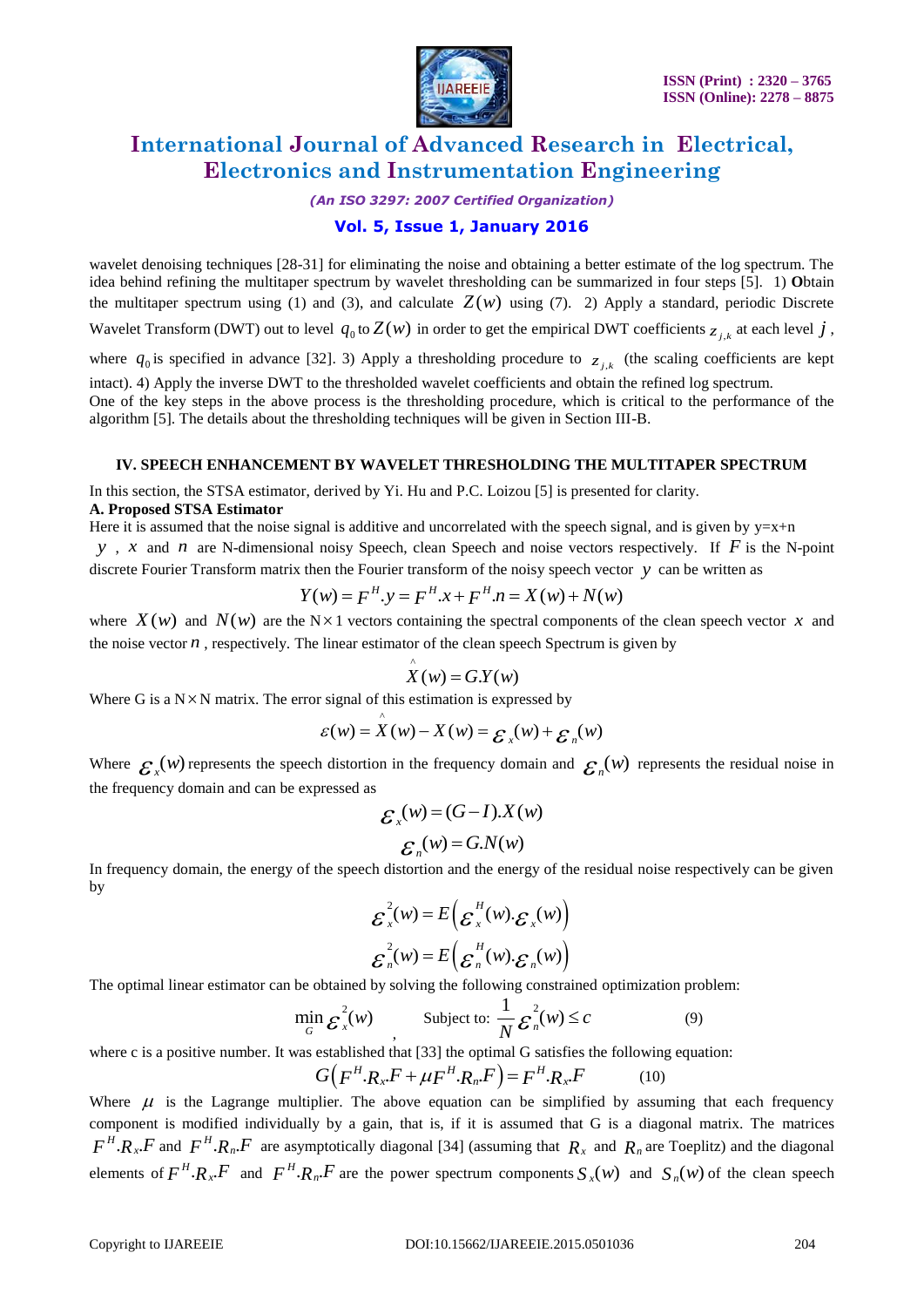

*(An ISO 3297: 2007 Certified Organization)*

#### **Vol. 5, Issue 1, January 2016**

wavelet denoising techniques [28-31] for eliminating the noise and obtaining a better estimate of the log spectrum. The idea behind refining the multitaper spectrum by wavelet thresholding can be summarized in four steps [5]. 1) **O**btain the multitaper spectrum using (1) and (3), and calculate  $Z(w)$  using (7). 2) Apply a standard, periodic Discrete

Wavelet Transform (DWT) out to level  $q_0$  to  $Z(w)$  in order to get the empirical DWT coefficients  $z_{j,k}$  at each level  $j$ ,

where  $q_0$  is specified in advance [32]. 3) Apply a thresholding procedure to  $z_{j,k}$  (the scaling coefficients are kept

intact). 4) Apply the inverse DWT to the thresholded wavelet coefficients and obtain the refined log spectrum. One of the key steps in the above process is the thresholding procedure, which is critical to the performance of the algorithm [5]. The details about the thresholding techniques will be given in Section III-B.

#### **IV. SPEECH ENHANCEMENT BY WAVELET THRESHOLDING THE MULTITAPER SPECTRUM**

In this section, the STSA estimator, derived by Yi. Hu and P.C. Loizou [5] is presented for clarity.

#### **A. Proposed STSA Estimator**

Here it is assumed that the noise signal is additive and uncorrelated with the speech signal, and is given by  $y=x+n$ 

*y*, *x* and *n* are N-dimensional noisy Speech, clean Speech and noise vectors respectively. If *F* is the N-point discrete Fourier Transform matrix then the Fourier transform of the noisy speech vector y can be written as  $Y(w) = F^H$ ,  $y = F^H$ ,  $x + F^H$ ,  $n = X(w) + N(w)$ 

$$
Y(w) = F^{H} \cdot y = F^{H} \cdot x + F^{H} \cdot n = X(w) + N(w)
$$

where  $X(w)$  and  $N(w)$  are the N×1 vectors containing the spectral components of the clean speech vector x and the noise vector *n* , respectively. The linear estimator of the clean speech Spectrum is given by

$$
\hat{X}(w) = G.Y(w)
$$

Where G is a N × N matrix. The error signal of this estimation is expressed by<br>  $\mathcal{E}(w) = \mathcal{X}(w) - X(w) = \mathcal{E}_x(w) + \mathcal{E}_y(w)$ 

$$
\varepsilon(w) = \mathop{X}\limits^{\wedge}(w) - \mathop{X}\limits^{\wedge}(w) = \mathop{\mathcal{E}}\limits^{\wedge}(w) + \mathop{\mathcal{E}}\limits^{\wedge}(w)
$$

Where  $\mathcal{E}_x(w)$  represents the speech distortion in the frequency domain and  $\mathcal{E}_n(w)$  represents the residual noise in the frequency domain and can be expressed as

$$
\mathcal{E}_x(w) = (G - I).X(w)
$$

$$
\mathcal{E}_n(w) = G.N(w)
$$

In frequency domain, the energy of the speech distortion and the energy of the residual noise respectively can be given by

$$
\mathcal{E}_x^2(w) = E\left(\mathcal{E}_x^H(w).\mathcal{E}_x(w)\right)
$$

$$
\mathcal{E}_n^2(w) = E\left(\mathcal{E}_n^H(w).\mathcal{E}_n(w)\right)
$$

The optimal linear estimator can be obtained by solving the following constrained optimization problem:

$$
\min_{G} \mathcal{E}_x^2(w) \qquad \text{Subject to: } \frac{1}{N} \mathcal{E}_n^2(w) \le c \tag{9}
$$

where c is a positive number. It was established that [33] the optimal G satisfies the following equation:<br> $G(F^H.R_x.F + \mu F^H.R_n.F) = F^H.R_x.F$  (10)

$$
G(FH \cdot Rx \cdot F + \mu FH \cdot Rn \cdot F) = FH \cdot Rx \cdot F \tag{10}
$$

Where  $\mu$  is the Lagrange multiplier. The above equation can be simplified by assuming that each frequency component is modified individually by a gain, that is, if it is assumed that G is a diagonal matrix. The matrices  $F^H \cdot R_x \cdot F$  and  $F^H \cdot R_x \cdot F$  are asymptotically diagonal [34] (assuming that  $R_x$  and  $R_x$  are Toeplitz) and the diagonal elements of  $F^H \cdot R_x \cdot F$  and  $F^H \cdot R_x \cdot F$  are the power spectrum components  $S_x(w)$  and  $S_x(w)$  of the clean speech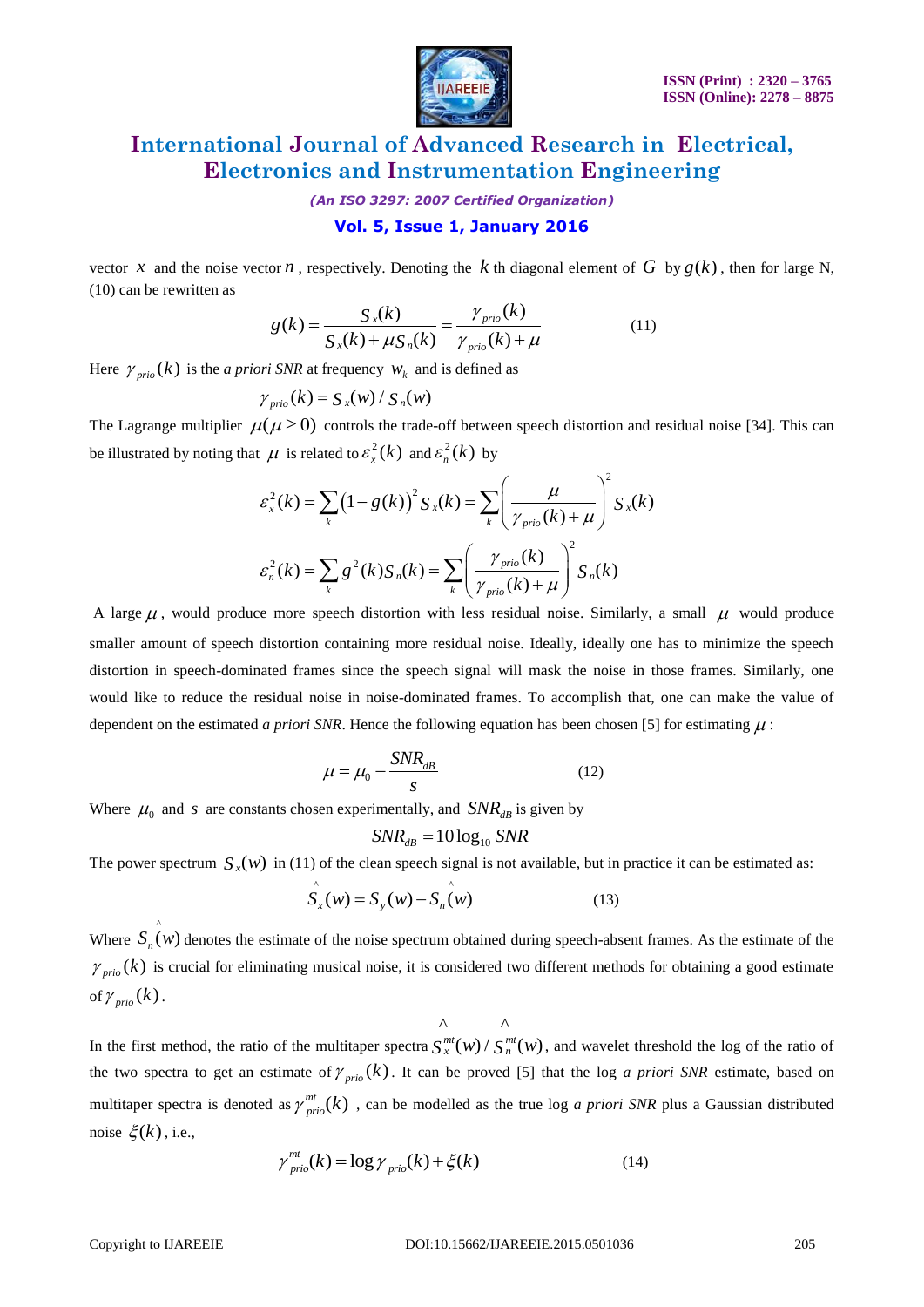

*(An ISO 3297: 2007 Certified Organization)*

#### **Vol. 5, Issue 1, January 2016**

vector x and the noise vector n, respectively. Denoting the k th diagonal element of G by  $g(k)$ , then for large N, (10) can be rewritten as

$$
g(k) = \frac{S_x(k)}{S_x(k) + \mu S_n(k)} = \frac{\gamma_{\text{prio}}(k)}{\gamma_{\text{prio}}(k) + \mu}
$$
(11)

Here  $\gamma_{prio}(k)$  is the *a priori SNR* at frequency  $w_k$  and is defined as

$$
\gamma_{\text{prio}}(k) = S_x(w) / S_n(w)
$$

The Lagrange multiplier  $\mu(\mu \ge 0)$  controls the trade-off between speech distortion and residual noise [34]. This can be illustrated by noting that  $\mu$  is related to  $\varepsilon_x^2(k)$  and  $\varepsilon_n^2(k)$  by

$$
\mathcal{E}_x^2(k) = \sum_k (1 - g(k))^2 S_x(k) \text{ by}
$$
\n
$$
\mathcal{E}_x^2(k) = \sum_k (1 - g(k))^2 S_x(k) = \sum_k \left(\frac{\mu}{\gamma_{\text{prio}}(k) + \mu}\right)^2 S_x(k)
$$
\n
$$
\mathcal{E}_n^2(k) = \sum_k g^2(k) S_n(k) = \sum_k \left(\frac{\gamma_{\text{prio}}(k)}{\gamma_{\text{prio}}(k) + \mu}\right)^2 S_n(k)
$$

A large  $\mu$ , would produce more speech distortion with less residual noise. Similarly, a small  $\mu$  would produce smaller amount of speech distortion containing more residual noise. Ideally, ideally one has to minimize the speech distortion in speech-dominated frames since the speech signal will mask the noise in those frames. Similarly, one would like to reduce the residual noise in noise-dominated frames. To accomplish that, one can make the value of dependent on the estimated *a priori SNR*. Hence the following equation has been chosen [5] for estimating  $\mu$ :

$$
\mu = \mu_0 - \frac{SNR_{dB}}{s} \tag{12}
$$

Where  $\mu_0$  and *s* are constants chosen experimentally, and  $SNR_{dB}$  is given by

$$
SNR_{dB} = 10\log_{10} SNR
$$

The power spectrum  $S_x(w)$  in (11) of the clean speech signal is not available, but in practice it can be estimated as:

$$
\hat{S}_{x}(w) = S_{y}(w) - \hat{S}_{n}(w)
$$
\n(13)

Where  $S_n(w)$  denotes the estimate of the noise spectrum obtained during speech-absent frames. As the estimate of the ^  $\gamma_{\text{prio}}(k)$  is crucial for eliminating musical noise, it is considered two different methods for obtaining a good estimate of  $\gamma_{\textit{\tiny{prio}}}(k)$  .

$$
\wedge \qquad \wedge
$$

In the first method, the ratio of the multitaper spectra  $S_x^{mt}(w) / S_n^{mt}(w)$ , and wavelet threshold the log of the ratio of the two spectra to get an estimate of  $\gamma_{\text{prio}}(k)$ . It can be proved [5] that the log *a priori SNR* estimate, based on multitaper spectra is denoted as  $\gamma_{prio}^{mt}(k)$ , can be modelled as the true log *a priori SNR* plus a Gaussian distributed noise  $\xi(k)$ , i.e.,

$$
\gamma_{\text{prio}}^{\text{mt}}(k) = \log \gamma_{\text{prio}}(k) + \xi(k)
$$
\n(14)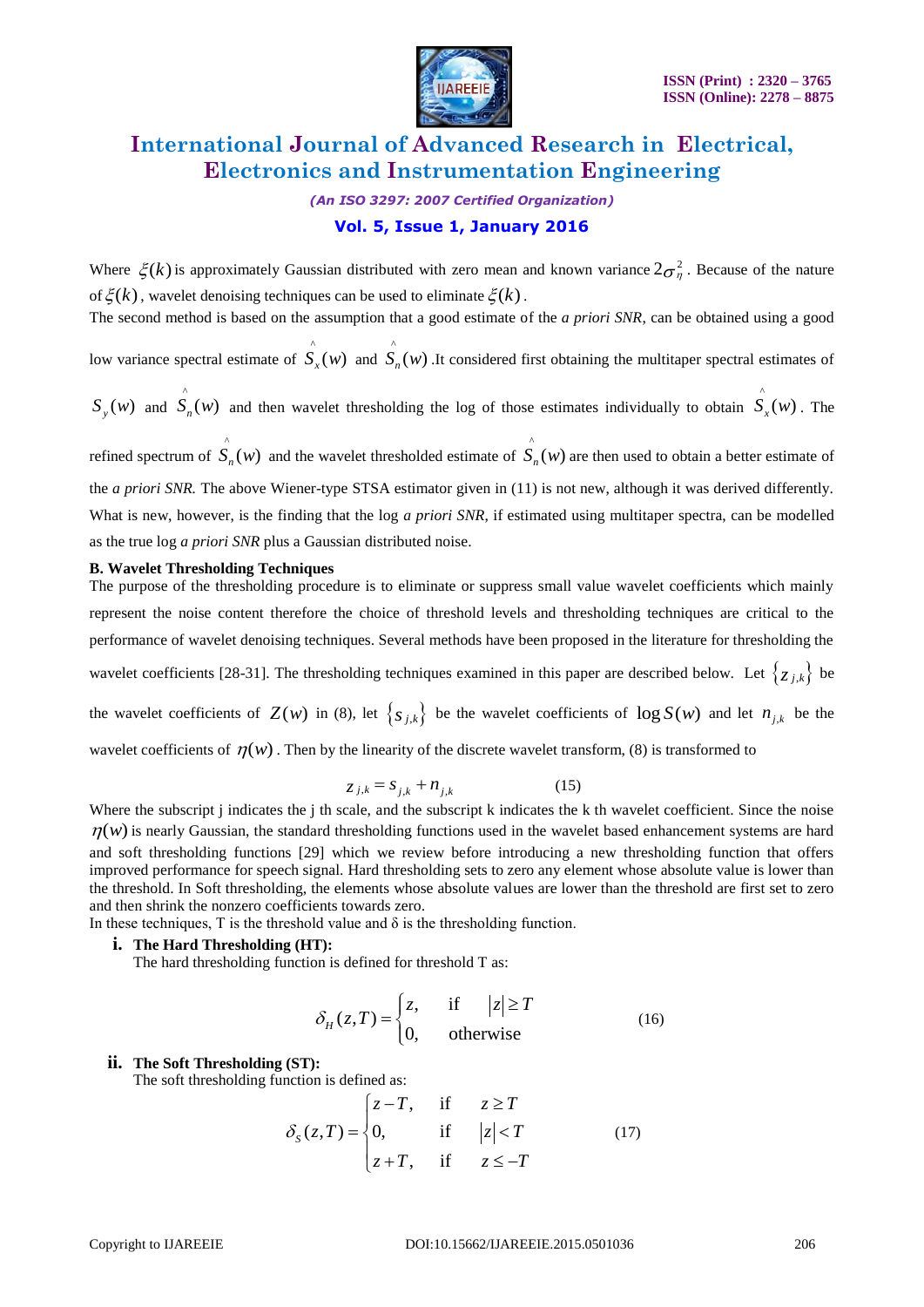

### *(An ISO 3297: 2007 Certified Organization)* **Vol. 5, Issue 1, January 2016**

Where  $\xi(k)$  is approximately Gaussian distributed with zero mean and known variance  $2\sigma_{\eta}^2$ . Because of the nature of  $\xi(k)$ , wavelet denoising techniques can be used to eliminate  $\xi(k)$ .

The second method is based on the assumption that a good estimate of the *a priori SNR*, can be obtained using a good

low variance spectral estimate of  $\hat{S}_x(w)$  and  $\hat{S}_n(w)$  .It considered first obtaining the multitaper spectral estimates of

 $S_y(w)$  and  $\hat{S}_n(w)$  and then wavelet thresholding the log of those estimates individually to obtain  $S_{x}(w)$ . The

refined spectrum of  $\hat{S}_n(w)$  and the wavelet thresholded estimate of  $\hat{S}_n(w)$  are then used to obtain a better estimate of the *a priori SNR.* The above Wiener-type STSA estimator given in (11) is not new, although it was derived differently. What is new, however, is the finding that the log *a priori SNR*, if estimated using multitaper spectra, can be modelled as the true log *a priori SNR* plus a Gaussian distributed noise.

#### **B. Wavelet Thresholding Techniques**

The purpose of the thresholding procedure is to eliminate or suppress small value wavelet coefficients which mainly represent the noise content therefore the choice of threshold levels and thresholding techniques are critical to the performance of wavelet denoising techniques. Several methods have been proposed in the literature for thresholding the wavelet coefficients [28-31]. The thresholding techniques examined in this paper are described below. Let  $\{z_{j,k}\}\$  be the wavelet coefficients of  $Z(w)$  in (8), let  $\{s_{j,k}\}\)$  be the wavelet coefficients of  $\log S(w)$  and let  $n_{j,k}$  be the wavelet coefficients of  $\eta(w)$ . Then by the linearity of the discrete wavelet transform, (8) is transformed to

$$
z_{j,k} = s_{j,k} + n_{j,k} \tag{15}
$$

Where the subscript j indicates the j th scale, and the subscript k indicates the k th wavelet coefficient. Since the noise  $\eta(w)$  is nearly Gaussian, the standard thresholding functions used in the wavelet based enhancement systems are hard and soft thresholding functions [29] which we review before introducing a new thresholding function that offers improved performance for speech signal. Hard thresholding sets to zero any element whose absolute value is lower than the threshold. In Soft thresholding, the elements whose absolute values are lower than the threshold are first set to zero and then shrink the nonzero coefficients towards zero.

In these techniques, T is the threshold value and  $\delta$  is the thresholding function.

#### **i. The Hard Thresholding (HT):**

The hard thresholding function is defined for threshold T as:

$$
\delta_H(z,T) = \begin{cases} z, & \text{if } |z| \ge T \\ 0, & \text{otherwise} \end{cases}
$$
 (16)

#### **ii. The Soft Thresholding (ST):**

The soft thresholding function is defined as:

function is defined as:

\n
$$
\delta_{S}(z,T) = \begin{cases}\nz - T, & \text{if } z \ge T \\
0, & \text{if } |z| < T \\
z + T, & \text{if } z \le -T\n\end{cases} \tag{17}
$$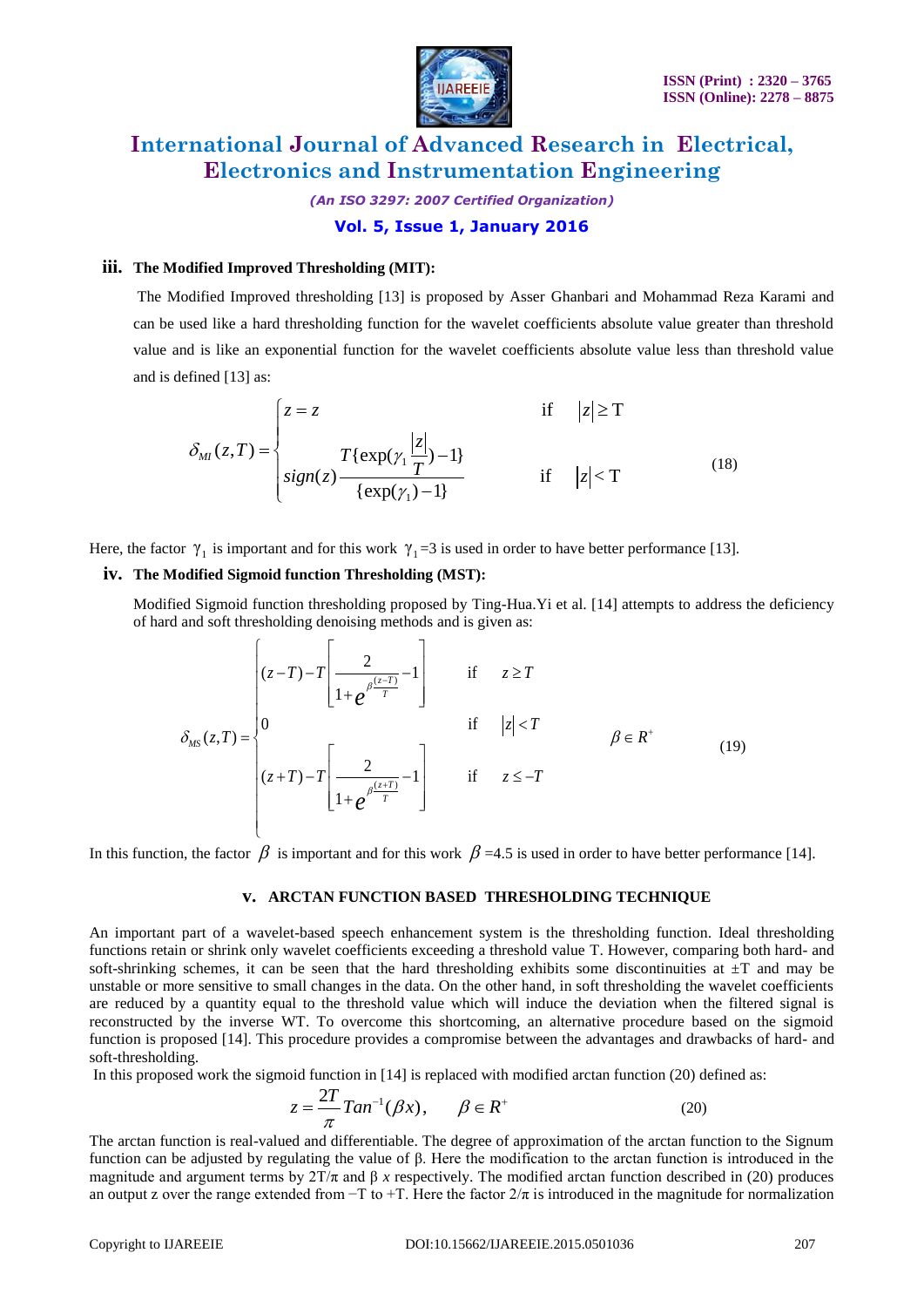

*(An ISO 3297: 2007 Certified Organization)* **Vol. 5, Issue 1, January 2016**

#### **iii. The Modified Improved Thresholding (MIT):**

The Modified Improved thresholding [13] is proposed by Asser Ghanbari and Mohammad Reza Karami and can be used like a hard thresholding function for the wavelet coefficients absolute value greater than threshold value and is like an exponential function for the wavelet coefficients absolute value less than threshold value and is defined [13] as:

$$
\delta_{MI}(z,T) = \begin{cases}\nz = z & \text{if } |z| \ge T \\
\delta_{MI}(z,T) = \begin{cases}\nz = z & \text{if } |z| \ge T \\
\text{sign}(z) & \text{if } |z| < T \\
\text{exp}(\gamma_1) - 1 & \text{if } |z| < T\n\end{cases}\n\end{cases}
$$
\n(18)

Here, the factor  $\gamma_1$  is important and for this work  $\gamma_1 = 3$  is used in order to have better performance [13].

#### **iv. The Modified Sigmoid function Thresholding (MST):**

Modified Sigmoid function thresholding proposed by Ting-Hua.Yi et al. [14] attempts to address the deficiency of hard and soft thresholding denoising methods and is given as:

ed Sigmoid function thresholding proposed by Ting-Hua.Yi et al. [14] attempts to address  
\nI and soft thresholding denoising methods and is given as:  
\n
$$
(z-T)-T\left[\frac{2}{1+e^{\beta\frac{(z-T)}{T}}-1}\right]
$$
\nif  $z \geq T$   
\n
$$
\delta_{MS}(z,T) =\begin{cases}\n0 & \text{if } |z| < T \\
(z+T)-T\left[\frac{2}{1+e^{\beta\frac{(z+T)}{T}}-1}\right] & \text{if } z \leq -T\n\end{cases}
$$
\n(19)

In this function, the factor  $\beta$  is important and for this work  $\beta$  =4.5 is used in order to have better performance [14].

#### **v. ARCTAN FUNCTION BASED THRESHOLDING TECHNIQUE**

An important part of a wavelet-based speech enhancement system is the thresholding function. Ideal thresholding functions retain or shrink only wavelet coefficients exceeding a threshold value T. However, comparing both hard- and soft-shrinking schemes, it can be seen that the hard thresholding exhibits some discontinuities at  $\pm T$  and may be unstable or more sensitive to small changes in the data. On the other hand, in soft thresholding the wavelet coefficients are reduced by a quantity equal to the threshold value which will induce the deviation when the filtered signal is reconstructed by the inverse WT. To overcome this shortcoming, an alternative procedure based on the sigmoid function is proposed [14]. This procedure provides a compromise between the advantages and drawbacks of hard- and soft-thresholding.

In this proposed work the sigmoid function in [14] is replaced with modified arctan function (20) defined as:

$$
z = \frac{2T}{\pi} \tan^{-1}(\beta x), \qquad \beta \in R^{+}
$$
 (20)

The arctan function is real-valued and differentiable. The degree of approximation of the arctan function to the Signum function can be adjusted by regulating the value of β. Here the modification to the arctan function is introduced in the magnitude and argument terms by  $2T/\pi$  and  $\beta$  *x* respectively. The modified arctan function described in (20) produces an output z over the range extended from  $-T$  to  $+T$ . Here the factor  $2/\pi$  is introduced in the magnitude for normalization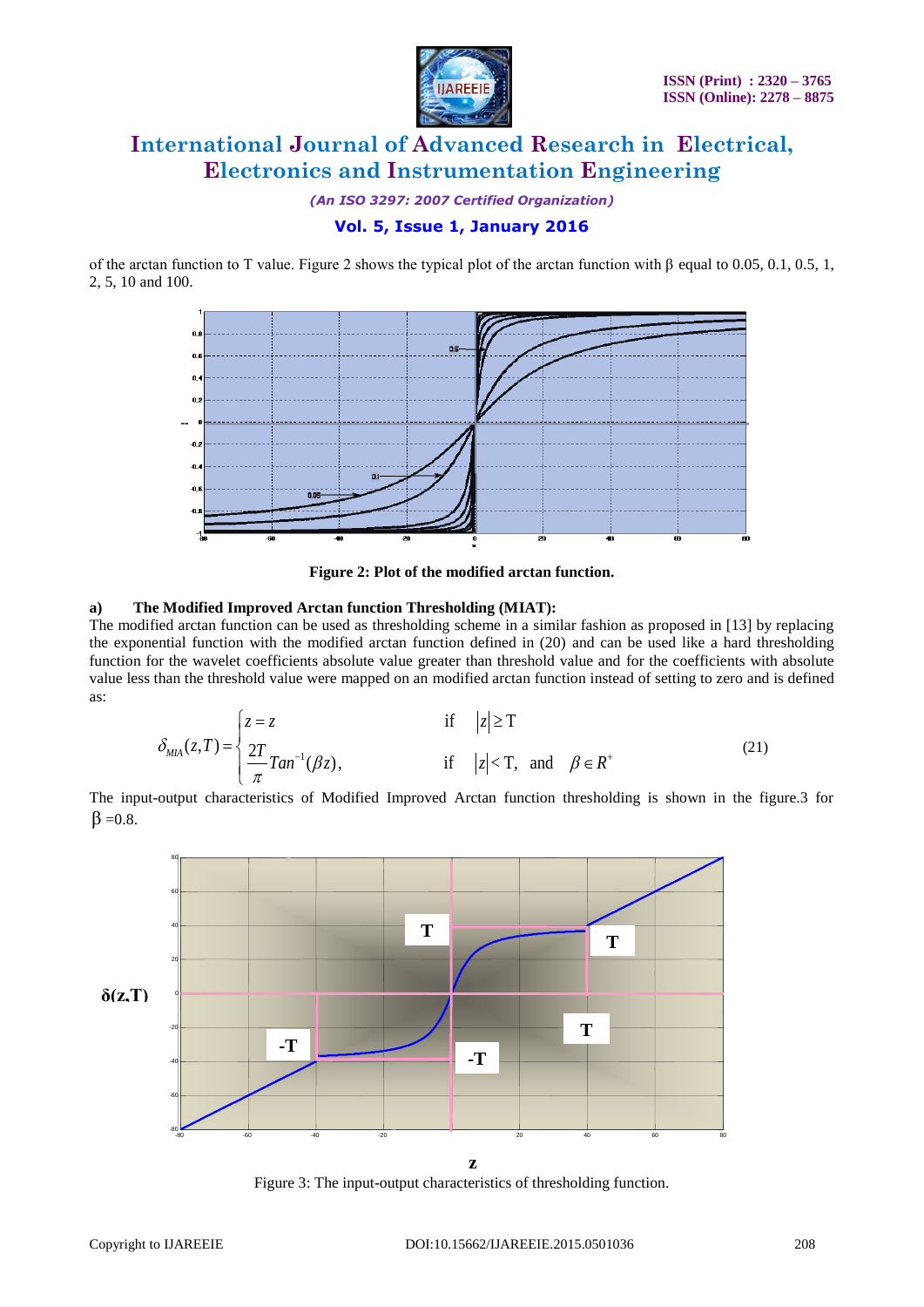

*(An ISO 3297: 2007 Certified Organization)*

#### **Vol. 5, Issue 1, January 2016**

of the arctan function to T value. Figure 2 shows the typical plot of the arctan function with β equal to 0.05, 0.1, 0.5, 1, 2, 5, 10 and 100.



**Figure 2: Plot of the modified arctan function.**

#### **a) The Modified Improved Arctan function Thresholding (MIAT):**

The modified arctan function can be used as thresholding scheme in a similar fashion as proposed in [13] by replacing the exponential function with the modified arctan function defined in (20) and can be used like a hard thresholding function for the wavelet coefficients absolute value greater than threshold value and for the coefficients with absolute value less than the threshold value were mapped on an modified arctan function instead of setting to zero and is defined as:<br>  $\begin{cases} z = z \end{cases}$  if  $|z| \ge T$ as:

$$
\delta_{\text{MIA}}(z,T) = \begin{cases} z = z & \text{if} \quad |z| \ge T \\ \frac{2T}{\pi} \text{Tan}^{-1}(\beta z), & \text{if} \quad |z| < T, \text{ and } \beta \in R^+ \end{cases}
$$
(21)

The input-output characteristics of Modified Improved Arctan function thresholding is shown in the figure.3 for  $\beta = 0.8$ .



Figure 3: The input-output characteristics of thresholding function.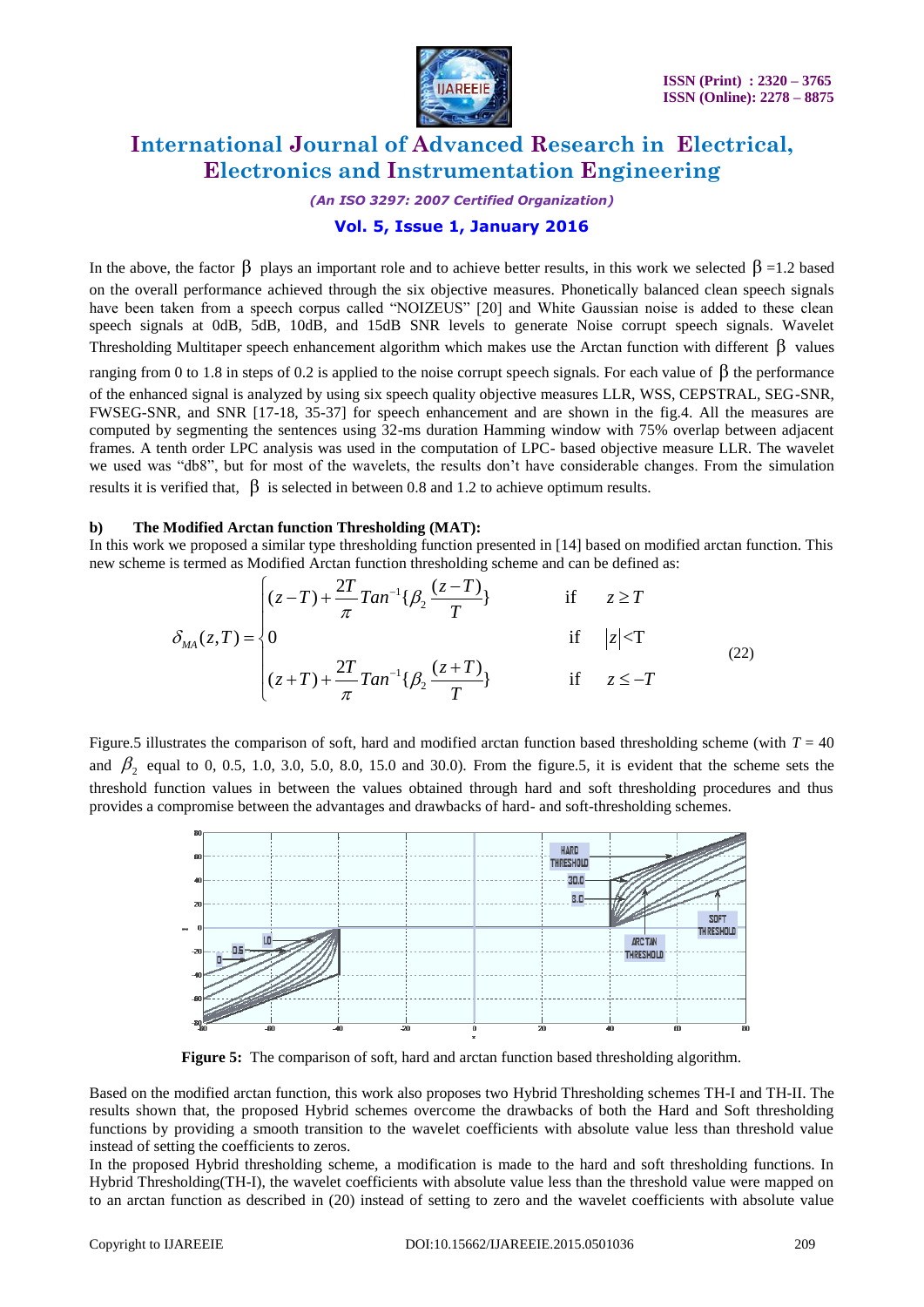

*(An ISO 3297: 2007 Certified Organization)*

#### **Vol. 5, Issue 1, January 2016**

In the above, the factor  $\beta$  plays an important role and to achieve better results, in this work we selected  $\beta$  =1.2 based on the overall performance achieved through the six objective measures. Phonetically balanced clean speech signals have been taken from a speech corpus called "NOIZEUS" [20] and White Gaussian noise is added to these clean speech signals at 0dB, 5dB, 10dB, and 15dB SNR levels to generate Noise corrupt speech signals. Wavelet Thresholding Multitaper speech enhancement algorithm which makes use the Arctan function with different  $\beta$  values

ranging from 0 to 1.8 in steps of 0.2 is applied to the noise corrupt speech signals. For each value of  $\beta$  the performance of the enhanced signal is analyzed by using six speech quality objective measures LLR, WSS, CEPSTRAL, SEG-SNR, FWSEG-SNR, and SNR [17-18, 35-37] for speech enhancement and are shown in the fig.4. All the measures are computed by segmenting the sentences using 32-ms duration Hamming window with 75% overlap between adjacent frames. A tenth order LPC analysis was used in the computation of LPC- based objective measure LLR. The wavelet we used was "db8", but for most of the wavelets, the results don't have considerable changes. From the simulation results it is verified that,  $\beta$  is selected in between 0.8 and 1.2 to achieve optimum results.

#### **b) The Modified Arctan function Thresholding (MAT):**

In this work we proposed a similar type thresholding function presented in [14] based on modified arctan function. This new scheme is termed as Modified Arctan function thresholding scheme and can be defined as:<br>  $(z-T) + \frac{$ new scheme is termed as Modified Arctan function thresholding scheme and can be defined as:

$$
\delta_{MA}(z,T) = \begin{cases}\n(z-T) + \frac{2T}{\pi} Tan^{-1} \{ \beta_2 \frac{(z-T)}{T} \} & \text{if } z \ge T \\
0 & \text{if } |z| < T \\
(z+T) + \frac{2T}{\pi} Tan^{-1} \{ \beta_2 \frac{(z+T)}{T} \} & \text{if } z \le -T\n\end{cases}
$$
\n(22)

Figure.5 illustrates the comparison of soft, hard and modified arctan function based thresholding scheme (with  $T = 40$ ) and  $\beta_2$  equal to 0, 0.5, 1.0, 3.0, 5.0, 8.0, 15.0 and 30.0). From the figure.5, it is evident that the scheme sets the threshold function values in between the values obtained through hard and soft thresholding procedures and thus provides a compromise between the advantages and drawbacks of hard- and soft-thresholding schemes.



**Figure 5:** The comparison of soft, hard and arctan function based thresholding algorithm.

Based on the modified arctan function, this work also proposes two Hybrid Thresholding schemes TH-I and TH-II. The results shown that, the proposed Hybrid schemes overcome the drawbacks of both the Hard and Soft thresholding functions by providing a smooth transition to the wavelet coefficients with absolute value less than threshold value instead of setting the coefficients to zeros.

In the proposed Hybrid thresholding scheme, a modification is made to the hard and soft thresholding functions. In Hybrid Thresholding(TH-I), the wavelet coefficients with absolute value less than the threshold value were mapped on to an arctan function as described in (20) instead of setting to zero and the wavelet coefficients with absolute value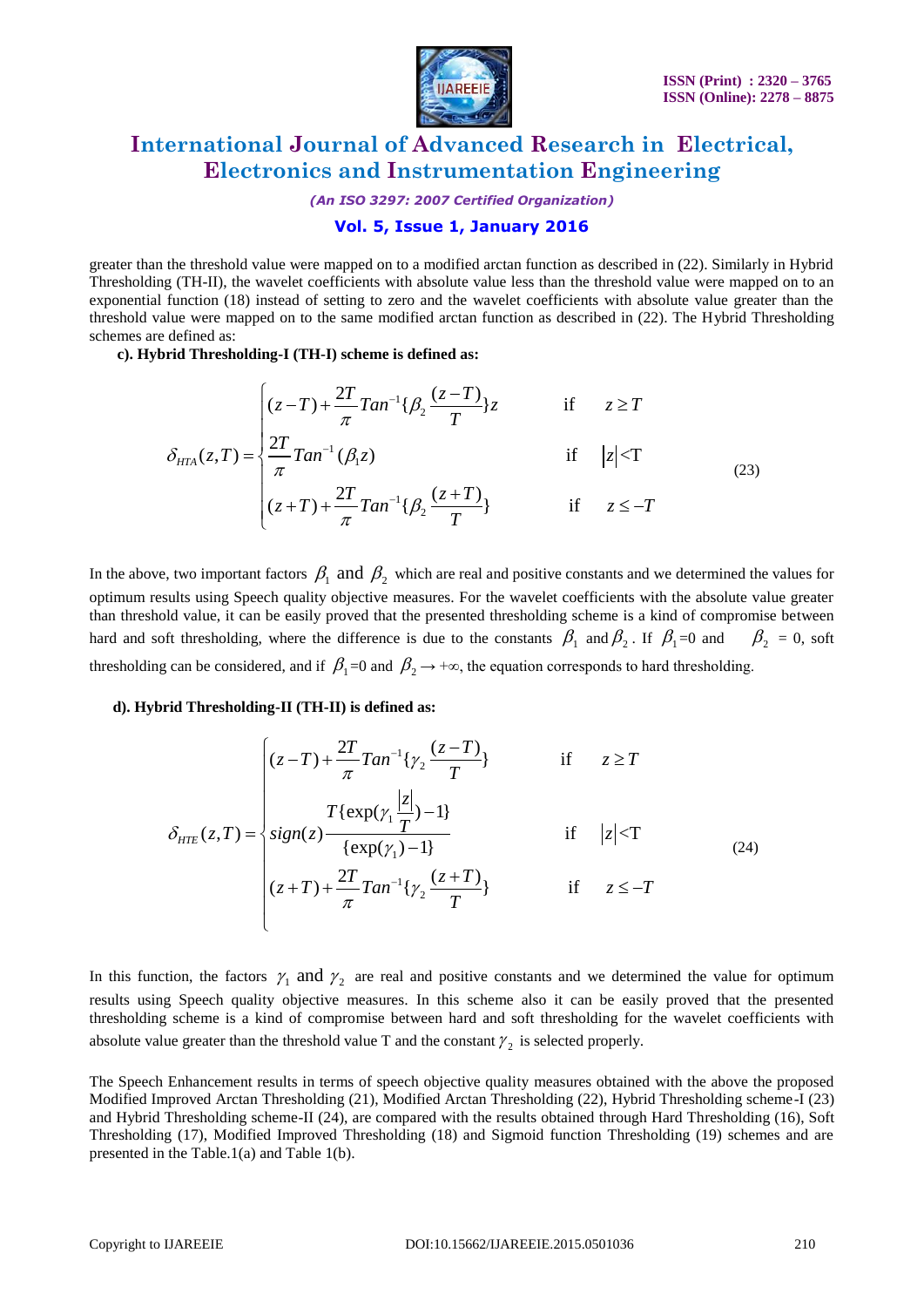

*(An ISO 3297: 2007 Certified Organization)*

#### **Vol. 5, Issue 1, January 2016**

greater than the threshold value were mapped on to a modified arctan function as described in (22). Similarly in Hybrid Thresholding (TH-II), the wavelet coefficients with absolute value less than the threshold value were mapped on to an exponential function (18) instead of setting to zero and the wavelet coefficients with absolute value greater than the threshold value were mapped on to the same modified arctan function as described in (22). The Hybrid Thresholding schemes are defined as:

**c). Hybrid Thresholding-I (TH-I) scheme is defined as:**

defined as:  
\n
$$
\text{right} \text{diag-I (TH-I) scheme is defined as:}
$$
\n
$$
\delta_{HTA}(z,T) = \begin{cases}\n(z-T) + \frac{2T}{\pi} \tan^{-1} \{ \beta_2 \frac{(z-T)}{T} \} z & \text{if } z \ge T \\
\frac{2T}{\pi} \tan^{-1} (\beta_1 z) & \text{if } |z| < T \\
(z+T) + \frac{2T}{\pi} \tan^{-1} \{ \beta_2 \frac{(z+T)}{T} \} & \text{if } z \le -T\n\end{cases}
$$
\n(23)

In the above, two important factors  $\beta_1$  and  $\beta_2$  which are real and positive constants and we determined the values for optimum results using Speech quality objective measures. For the wavelet coefficients with the absolute value greater than threshold value, it can be easily proved that the presented thresholding scheme is a kind of compromise between hard and soft thresholding, where the difference is due to the constants  $\beta_1$  and  $\beta_2$ . If  $\beta_1=0$  and  $\beta_2=0$ , soft thresholding can be considered, and if  $\beta_1=0$  and  $\beta_2\rightarrow+\infty$ , the equation corresponds to hard thresholding.

#### **d). Hybrid Thresholding-II (TH-II) is defined as:**

$$
\mathbf{i} \mathbf{d} \text{ Thresholding-II (TH-II) is defined as:}
$$
\n
$$
\delta_{\text{HTE}}(z,T) = \begin{cases}\n(z-T) + \frac{2T}{\pi} \text{T} \text{an}^{-1} \{ \gamma_2 \frac{(z-T)}{T} \} & \text{if } z \ge T \\
\text{sign}(z) & \text{if } |z| < T \\
\text{sign}(z) & \text{if } |z| < T \\
(z+T) + \frac{2T}{\pi} \text{T} \text{an}^{-1} \{ \gamma_2 \frac{(z+T)}{T} \} & \text{if } z \le -T\n\end{cases}
$$
\n(24)

In this function, the factors  $\gamma_1$  and  $\gamma_2$  are real and positive constants and we determined the value for optimum results using Speech quality objective measures. In this scheme also it can be easily proved that the presented thresholding scheme is a kind of compromise between hard and soft thresholding for the wavelet coefficients with absolute value greater than the threshold value T and the constant  $\gamma_2$  is selected properly.

The Speech Enhancement results in terms of speech objective quality measures obtained with the above the proposed Modified Improved Arctan Thresholding (21), Modified Arctan Thresholding (22), Hybrid Thresholding scheme-I (23) and Hybrid Thresholding scheme-II (24), are compared with the results obtained through Hard Thresholding (16), Soft Thresholding (17), Modified Improved Thresholding (18) and Sigmoid function Thresholding (19) schemes and are presented in the Table.1(a) and Table 1(b).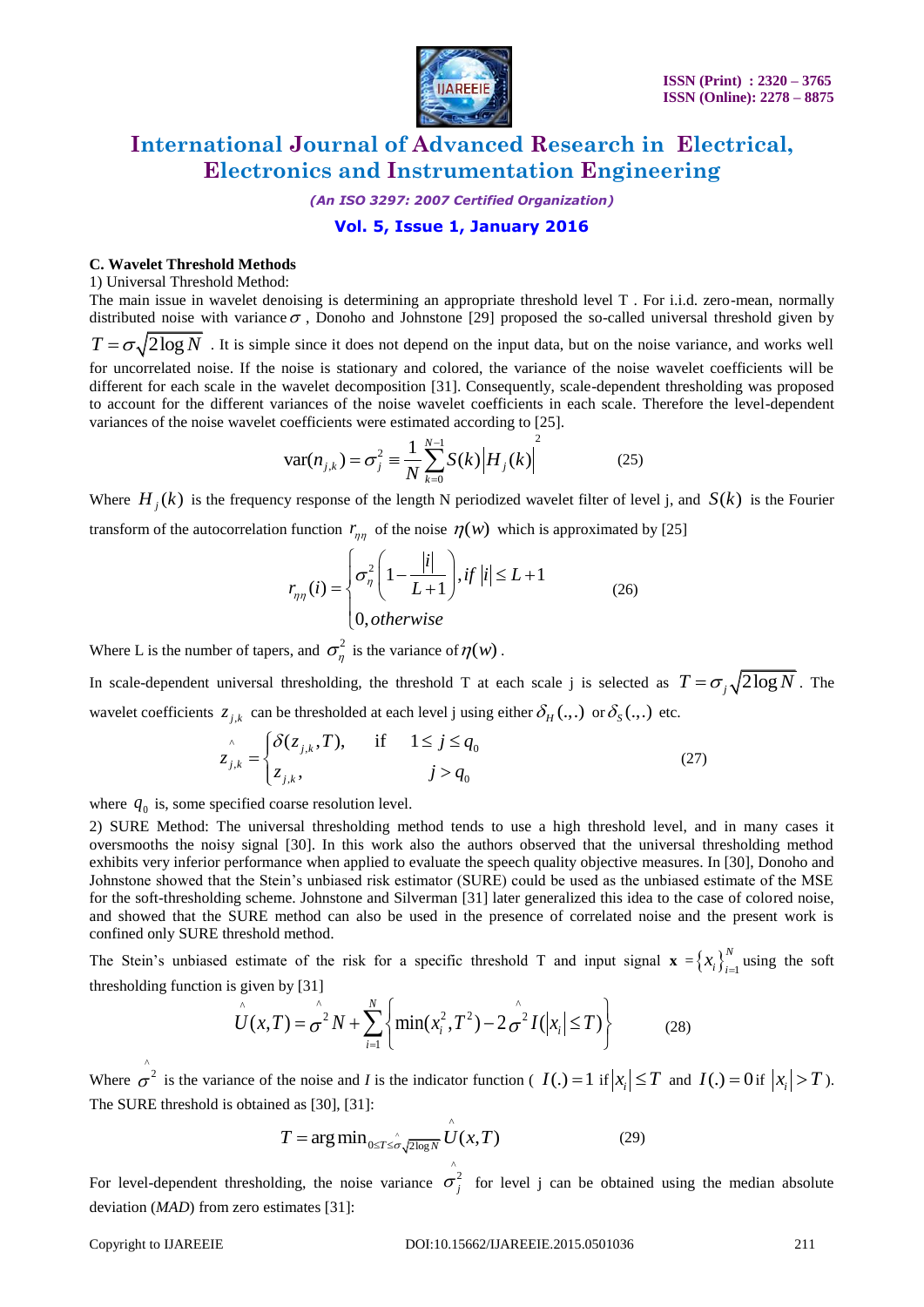

*(An ISO 3297: 2007 Certified Organization)*

#### **Vol. 5, Issue 1, January 2016**

#### **C. Wavelet Threshold Methods**

1) Universal Threshold Method:

The main issue in wavelet denoising is determining an appropriate threshold level T . For i.i.d. zero-mean, normally distributed noise with variance  $\sigma$ , Donoho and Johnstone [29] proposed the so-called universal threshold given by  $T = \sigma \sqrt{2 \log N}$ . It is simple since it does not depend on the input data, but on the noise variance, and works well for uncorrelated noise. If the noise is stationary and colored, the variance of the noise wavelet coefficients will be different for each scale in the wavelet decomposition [31]. Consequently, scale-dependent thresholding was proposed to account for the different variances of the noise wavelet coefficients in each scale. Therefore the level-dependent variances of the noise wavelet coefficients were estimated according to [25].

$$
var(n_{j,k}) = \sigma_j^2 \equiv \frac{1}{N} \sum_{k=0}^{N-1} S(k) |H_j(k)|^2
$$
 (25)

Where  $H_j(k)$  is the frequency response of the length N periodized wavelet filter of level j, and  $S(k)$  is the Fourier

transform of the autocorrelation function 
$$
r_{\eta\eta}
$$
 of the noise  $\eta(w)$  which is approximated by [25]  

$$
r_{\eta\eta}(i) = \begin{cases} \sigma_{\eta}^2 \left(1 - \frac{|i|}{L+1}\right), if |i| \le L+1\\ 0, otherwise \end{cases}
$$
(26)

Where L is the number of tapers, and  $\sigma_{\eta}^2$  is the variance of  $\eta(w)$ .

In scale-dependent universal thresholding, the threshold T at each scale j is selected as  $T = \sigma_j \sqrt{2 \log N}$ . The

wavelet coefficients 
$$
z_{j,k}
$$
 can be thresholded at each level j using either  $\delta_H(\cdot, \cdot)$  or  $\delta_S(\cdot, \cdot)$  etc.  
\n
$$
z_{j,k} = \begin{cases} \delta(z_{j,k}, T), & \text{if } 1 \le j \le q_0 \\ z_{j,k}, & j > q_0 \end{cases}
$$
\n(27)

where  $q_0$  is, some specified coarse resolution level.

2) SURE Method: The universal thresholding method tends to use a high threshold level, and in many cases it oversmooths the noisy signal [30]. In this work also the authors observed that the universal thresholding method exhibits very inferior performance when applied to evaluate the speech quality objective measures. In [30], Donoho and Johnstone showed that the Stein's unbiased risk estimator (SURE) could be used as the unbiased estimate of the MSE for the soft-thresholding scheme. Johnstone and Silverman [31] later generalized this idea to the case of colored noise, and showed that the SURE method can also be used in the presence of correlated noise and the present work is confined only SURE threshold method.

The Stein's unbiased estimate of the risk for a specific threshold T and input signal  $\mathbf{x} = \left\{x_i\right\}_{i=1}^N$  $x_i$ <sub>i=1</sub></sub> using the soft

thresholding function is given by [31]  
\n
$$
\hat{U}(x,T) = \hat{\sigma}^2 N + \sum_{i=1}^N \left\{ \min(x_i^2, T^2) - 2 \hat{\sigma}^2 I(|x_i| \le T) \right\}
$$
\n(28)

Where  $\int_{0}^{\infty}$  is the variance of the noise and *I* is the indicator function (  $I(.) = 1$  if  $|x_i| \leq T$  and  $I(.) = 0$  if  $|x_i| > T$ ). The SURE threshold is obtained as [30], [31]:

$$
T = \arg\min_{0 \le T \le \hat{\sigma}} \hat{U}(x, T)
$$
 (29)

For level-dependent thresholding, the noise variance  $\hat{\sigma}^2_j$  for level j can be obtained using the median absolute deviation (*MAD*) from zero estimates [31]: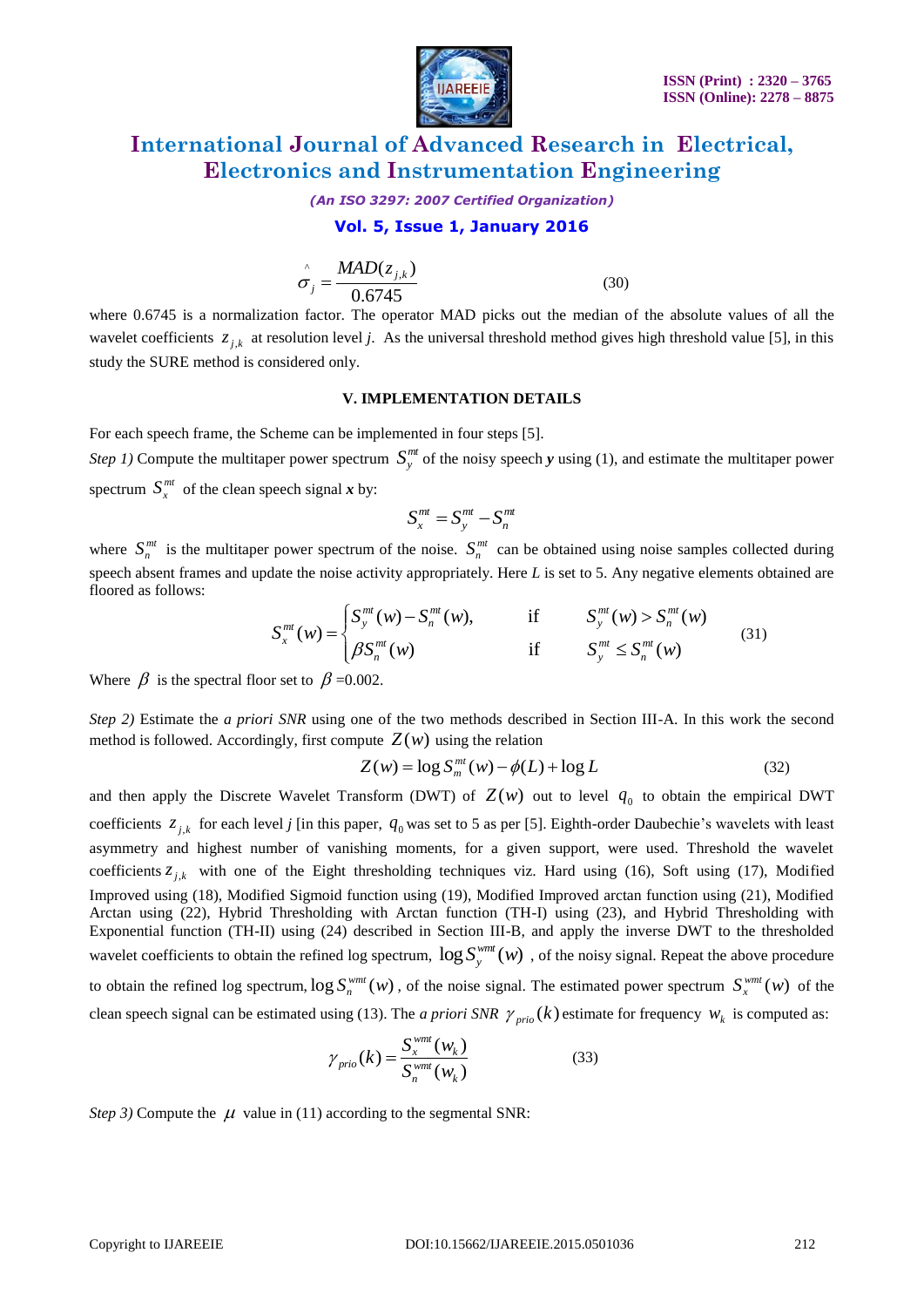

*(An ISO 3297: 2007 Certified Organization)*

#### **Vol. 5, Issue 1, January 2016**

$$
\hat{\sigma}_j = \frac{MAD(z_{j,k})}{0.6745}
$$
\n(30)

where 0.6745 is a normalization factor. The operator MAD picks out the median of the absolute values of all the wavelet coefficients  $z_{j,k}$  at resolution level *j*. As the universal threshold method gives high threshold value [5], in this study the SURE method is considered only.

#### **V. IMPLEMENTATION DETAILS**

For each speech frame, the Scheme can be implemented in four steps [5].

*Step 1*) Compute the multitaper power spectrum  $S_y^{mt}$  of the noisy speech *y* using (1), and estimate the multitaper power spectrum  $S_x^{mt}$  of the clean speech signal *x* by:

$$
S_x^{mt} = S_y^{mt} - S_n^{mt}
$$

where  $S_n^{mt}$  is the multitaper power spectrum of the noise.  $S_n^{mt}$  can be obtained using noise samples collected during speech absent frames and update the noise activity appropriately. Here *L* is set to 5. Any negative elements obtained are floored as follows:<br>  $S^{mt}(w) = \begin{cases} S^{mt}_y(w) - S^{mt}_n(w), & \text{if } S^{mt}_y(w) > S^{mt}_n(w) \end{cases}$  (31) floored as follows:  $f_n^{m}(w) - S^{m}(w)$ , if  $S^{m}(w) > S^{m}(w)$ 

$$
S_{x}^{mt}(w) = \begin{cases} S_{y}^{mt}(w) - S_{n}^{mt}(w), & \text{if } S_{y}^{mt}(w) > S_{n}^{mt}(w) \\ \beta S_{n}^{mt}(w) & \text{if } S_{y}^{mt} \le S_{n}^{mt}(w) \end{cases}
$$
(31)

Where  $\beta$  is the spectral floor set to  $\beta$  =0.002.

*Step 2)* Estimate the *a priori SNR* using one of the two methods described in Section III-A. In this work the second method is followed. Accordingly, first compute  $Z(w)$  using the relation<br> $Z(w) = \log S_m^{mt}(w) - \phi(L) + \log L$ 

$$
Z(w) = \log S_m^{mt}(w) - \phi(L) + \log L \tag{32}
$$

and then apply the Discrete Wavelet Transform (DWT) of  $Z(w)$  out to level  $q_0$  to obtain the empirical DWT coefficients  $z_{j,k}$  for each level *j* [in this paper,  $q_0$  was set to 5 as per [5]. Eighth-order Daubechie's wavelets with least asymmetry and highest number of vanishing moments, for a given support, were used. Threshold the wavelet coefficients  $z_{j,k}$  with one of the Eight thresholding techniques viz. Hard using (16), Soft using (17), Modified Improved using (18), Modified Sigmoid function using (19), Modified Improved arctan function using (21), Modified Arctan using (22), Hybrid Thresholding with Arctan function (TH-I) using (23), and Hybrid Thresholding with Exponential function (TH-II) using (24) described in Section III-B, and apply the inverse DWT to the thresholded wavelet coefficients to obtain the refined log spectrum,  $\log S_y^{wmt}(w)$ , of the noisy signal. Repeat the above procedure to obtain the refined log spectrum,  $\log S_n^{wmt}(w)$ , of the noise signal. The estimated power spectrum  $S_n^{wmt}(w)$  of the clean speech signal can be estimated using (13). The *a priori SNR*  $\gamma_{prio}(k)$  estimate for frequency  $w_k$  is computed as:

$$
\gamma_{prio}(k) = \frac{S_x^{wmt}(w_k)}{S_n^{wmt}(w_k)}
$$
\n(33)

*Step 3*) Compute the  $\mu$  value in (11) according to the segmental SNR: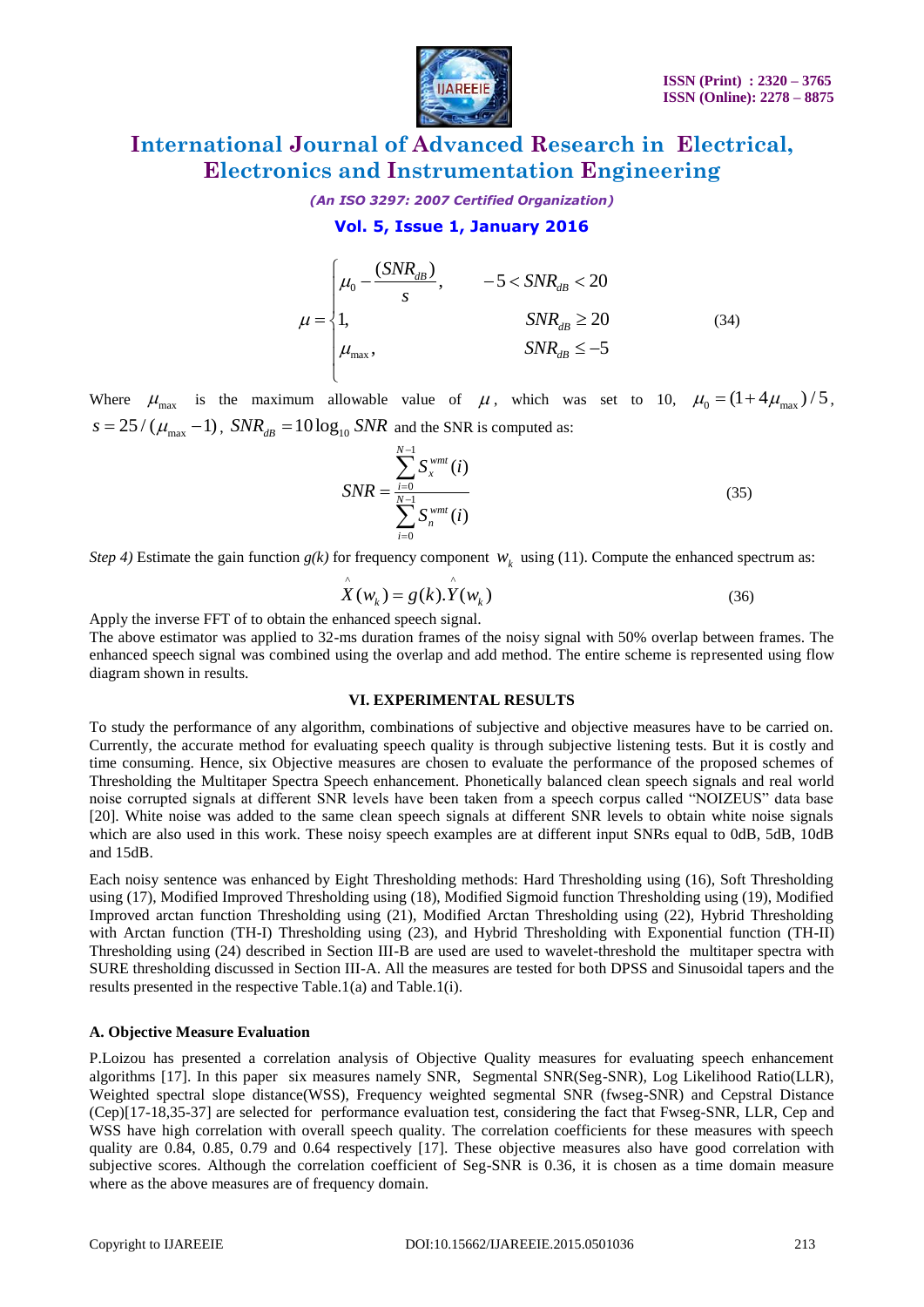

*(An ISO 3297: 2007 Certified Organization)*

#### **Vol. 5, Issue 1, January 2016**

$$
\mu = \begin{cases}\n\mu_0 - \frac{(SNR_{dB})}{s}, & -5 < SNR_{dB} < 20 \\
1, & SNR_{dB} \ge 20 \\
\mu_{max}, & SNR_{dB} \le -5\n\end{cases}
$$
\n(34)

Where  $\mu_{\text{max}}$  is the maximum allowable value of  $\mu$ , which was set to 10,  $\mu_0 = (1 + 4\mu_{\text{max}})/5$ ,  $s = 25 / (\mu_{\text{max}} - 1)$ ,  $SNR_{dB} = 10 \log_{10} SNR$  and the SNR is computed as:

$$
SNR = \frac{\sum_{i=0}^{N-1} S_x^{wmt}(i)}{\sum_{i=0}^{N-1} S_n^{wmt}(i)}
$$
(35)

*Step 4*) Estimate the gain function  $g(k)$  for frequency component  $W_k$  using (11). Compute the enhanced spectrum as:

$$
\hat{X}(w_k) = g(k).\hat{Y}(w_k)
$$
\n(36)

Apply the inverse FFT of to obtain the enhanced speech signal.

The above estimator was applied to 32-ms duration frames of the noisy signal with 50% overlap between frames. The enhanced speech signal was combined using the overlap and add method. The entire scheme is represented using flow diagram shown in results.

#### **VI. EXPERIMENTAL RESULTS**

To study the performance of any algorithm, combinations of subjective and objective measures have to be carried on. Currently, the accurate method for evaluating speech quality is through subjective listening tests. But it is costly and time consuming. Hence, six Objective measures are chosen to evaluate the performance of the proposed schemes of Thresholding the Multitaper Spectra Speech enhancement. Phonetically balanced clean speech signals and real world noise corrupted signals at different SNR levels have been taken from a speech corpus called "NOIZEUS" data base [20]. White noise was added to the same clean speech signals at different SNR levels to obtain white noise signals which are also used in this work. These noisy speech examples are at different input SNRs equal to 0dB, 5dB, 10dB and 15dB.

Each noisy sentence was enhanced by Eight Thresholding methods: Hard Thresholding using (16), Soft Thresholding using (17), Modified Improved Thresholding using (18), Modified Sigmoid function Thresholding using (19), Modified Improved arctan function Thresholding using (21), Modified Arctan Thresholding using (22), Hybrid Thresholding with Arctan function (TH-I) Thresholding using (23), and Hybrid Thresholding with Exponential function (TH-II) Thresholding using (24) described in Section III-B are used are used to wavelet-threshold the multitaper spectra with SURE thresholding discussed in Section III-A. All the measures are tested for both DPSS and Sinusoidal tapers and the results presented in the respective Table.1(a) and Table.1(i).

#### **A. Objective Measure Evaluation**

P.Loizou has presented a correlation analysis of Objective Quality measures for evaluating speech enhancement algorithms [17]. In this paper six measures namely SNR, Segmental SNR(Seg-SNR), Log Likelihood Ratio(LLR), Weighted spectral slope distance(WSS), Frequency weighted segmental SNR (fwseg-SNR) and Cepstral Distance (Cep)[17-18,35-37] are selected for performance evaluation test, considering the fact that Fwseg-SNR, LLR, Cep and WSS have high correlation with overall speech quality. The correlation coefficients for these measures with speech quality are 0.84, 0.85, 0.79 and 0.64 respectively [17]. These objective measures also have good correlation with subjective scores. Although the correlation coefficient of Seg-SNR is 0.36, it is chosen as a time domain measure where as the above measures are of frequency domain.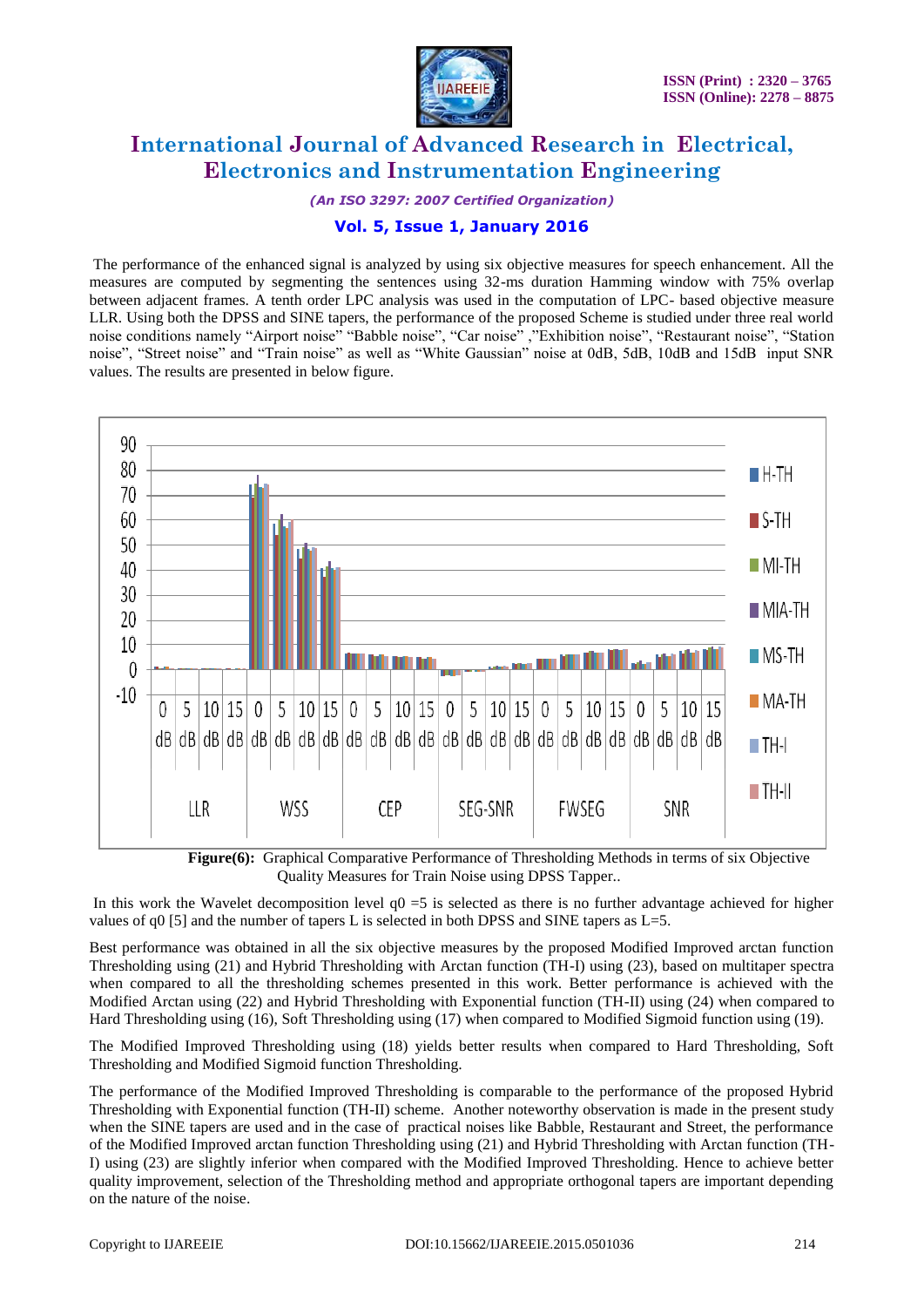

*(An ISO 3297: 2007 Certified Organization)*

### **Vol. 5, Issue 1, January 2016**

The performance of the enhanced signal is analyzed by using six objective measures for speech enhancement. All the measures are computed by segmenting the sentences using 32-ms duration Hamming window with 75% overlap between adjacent frames. A tenth order LPC analysis was used in the computation of LPC- based objective measure LLR. Using both the DPSS and SINE tapers, the performance of the proposed Scheme is studied under three real world noise conditions namely "Airport noise" "Babble noise", "Car noise" ,"Exhibition noise", "Restaurant noise", "Station noise", "Street noise" and "Train noise" as well as "White Gaussian" noise at 0dB, 5dB, 10dB and 15dB input SNR values. The results are presented in below figure.



 **Figure(6):** Graphical Comparative Performance of Thresholding Methods in terms of six Objective Quality Measures for Train Noise using DPSS Tapper..

In this work the Wavelet decomposition level  $q0 = 5$  is selected as there is no further advantage achieved for higher values of q0 [5] and the number of tapers L is selected in both DPSS and SINE tapers as  $L=5$ .

Best performance was obtained in all the six objective measures by the proposed Modified Improved arctan function Thresholding using (21) and Hybrid Thresholding with Arctan function (TH-I) using (23), based on multitaper spectra when compared to all the thresholding schemes presented in this work. Better performance is achieved with the Modified Arctan using (22) and Hybrid Thresholding with Exponential function (TH-II) using (24) when compared to Hard Thresholding using (16), Soft Thresholding using (17) when compared to Modified Sigmoid function using (19).

The Modified Improved Thresholding using (18) yields better results when compared to Hard Thresholding, Soft Thresholding and Modified Sigmoid function Thresholding.

The performance of the Modified Improved Thresholding is comparable to the performance of the proposed Hybrid Thresholding with Exponential function (TH-II) scheme. Another noteworthy observation is made in the present study when the SINE tapers are used and in the case of practical noises like Babble, Restaurant and Street, the performance of the Modified Improved arctan function Thresholding using (21) and Hybrid Thresholding with Arctan function (TH-I) using (23) are slightly inferior when compared with the Modified Improved Thresholding. Hence to achieve better quality improvement, selection of the Thresholding method and appropriate orthogonal tapers are important depending on the nature of the noise.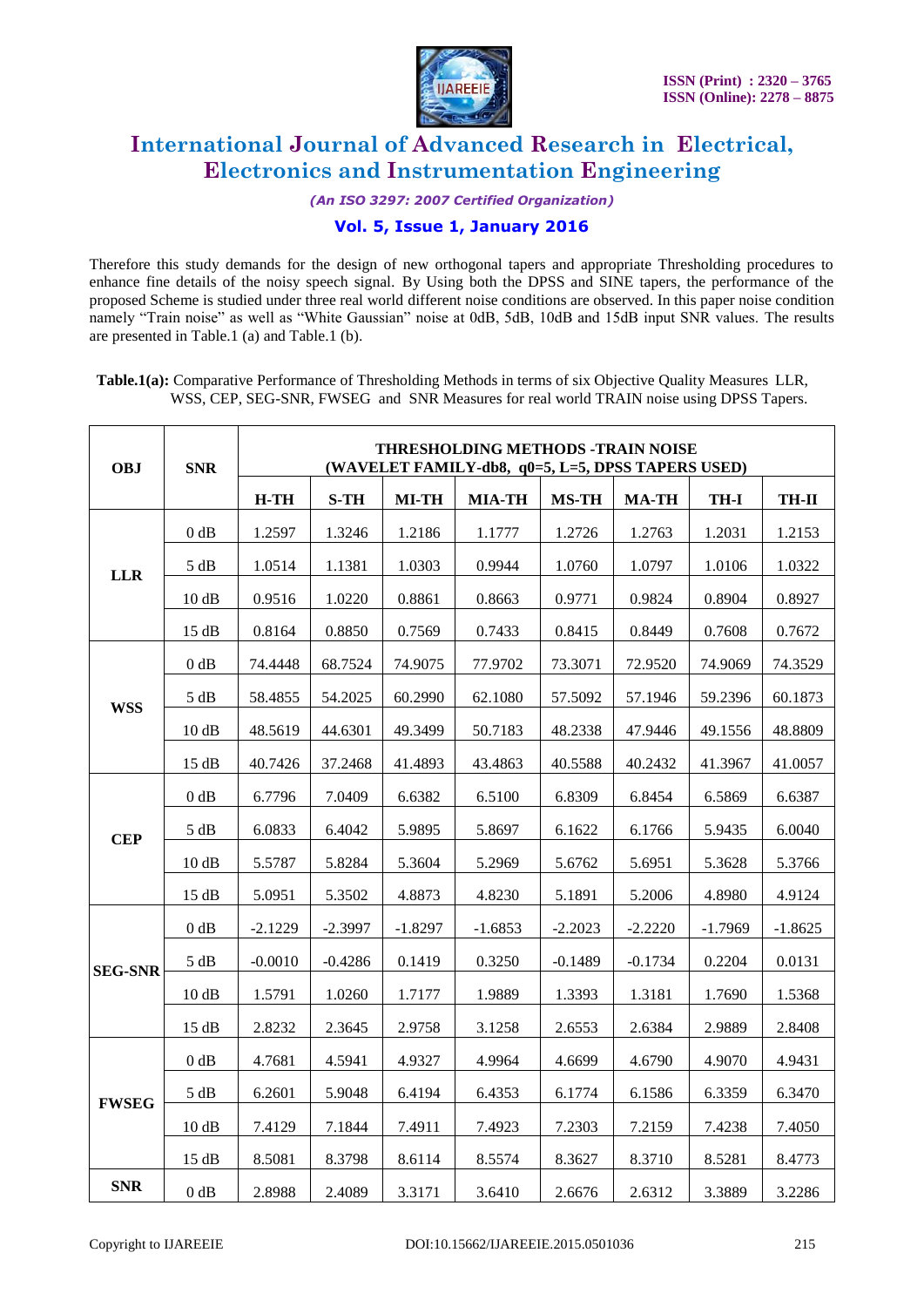

*(An ISO 3297: 2007 Certified Organization)*

#### **Vol. 5, Issue 1, January 2016**

Therefore this study demands for the design of new orthogonal tapers and appropriate Thresholding procedures to enhance fine details of the noisy speech signal. By Using both the DPSS and SINE tapers, the performance of the proposed Scheme is studied under three real world different noise conditions are observed. In this paper noise condition namely "Train noise" as well as "White Gaussian" noise at 0dB, 5dB, 10dB and 15dB input SNR values. The results are presented in Table.1 (a) and Table.1 (b).

**Table.1(a):** Comparative Performance of Thresholding Methods in terms of six Objective Quality Measures LLR, WSS, CEP, SEG-SNR, FWSEG and SNR Measures for real world TRAIN noise using DPSS Tapers.

| <b>OBJ</b>     | <b>SNR</b> | THRESHOLDING METHODS -TRAIN NOISE<br>(WAVELET FAMILY-db8, q0=5, L=5, DPSS TAPERS USED) |             |              |               |              |              |             |              |  |
|----------------|------------|----------------------------------------------------------------------------------------|-------------|--------------|---------------|--------------|--------------|-------------|--------------|--|
|                |            | $H-TH$                                                                                 | <b>S-TH</b> | <b>MI-TH</b> | <b>MIA-TH</b> | <b>MS-TH</b> | <b>MA-TH</b> | <b>TH-I</b> | <b>TH-II</b> |  |
| <b>LLR</b>     | 0 dB       | 1.2597                                                                                 | 1.3246      | 1.2186       | 1.1777        | 1.2726       | 1.2763       | 1.2031      | 1.2153       |  |
|                | 5 dB       | 1.0514                                                                                 | 1.1381      | 1.0303       | 0.9944        | 1.0760       | 1.0797       | 1.0106      | 1.0322       |  |
|                | 10dB       | 0.9516                                                                                 | 1.0220      | 0.8861       | 0.8663        | 0.9771       | 0.9824       | 0.8904      | 0.8927       |  |
|                | 15 dB      | 0.8164                                                                                 | 0.8850      | 0.7569       | 0.7433        | 0.8415       | 0.8449       | 0.7608      | 0.7672       |  |
|                | 0 dB       | 74.4448                                                                                | 68.7524     | 74.9075      | 77.9702       | 73.3071      | 72.9520      | 74.9069     | 74.3529      |  |
|                | 5 dB       | 58.4855                                                                                | 54.2025     | 60.2990      | 62.1080       | 57.5092      | 57.1946      | 59.2396     | 60.1873      |  |
| <b>WSS</b>     | 10dB       | 48.5619                                                                                | 44.6301     | 49.3499      | 50.7183       | 48.2338      | 47.9446      | 49.1556     | 48.8809      |  |
|                | 15 dB      | 40.7426                                                                                | 37.2468     | 41.4893      | 43.4863       | 40.5588      | 40.2432      | 41.3967     | 41.0057      |  |
| <b>CEP</b>     | 0 dB       | 6.7796                                                                                 | 7.0409      | 6.6382       | 6.5100        | 6.8309       | 6.8454       | 6.5869      | 6.6387       |  |
|                | 5 dB       | 6.0833                                                                                 | 6.4042      | 5.9895       | 5.8697        | 6.1622       | 6.1766       | 5.9435      | 6.0040       |  |
|                | 10dB       | 5.5787                                                                                 | 5.8284      | 5.3604       | 5.2969        | 5.6762       | 5.6951       | 5.3628      | 5.3766       |  |
|                | 15 dB      | 5.0951                                                                                 | 5.3502      | 4.8873       | 4.8230        | 5.1891       | 5.2006       | 4.8980      | 4.9124       |  |
|                | 0 dB       | $-2.1229$                                                                              | $-2.3997$   | $-1.8297$    | $-1.6853$     | $-2.2023$    | $-2.2220$    | $-1.7969$   | $-1.8625$    |  |
| <b>SEG-SNR</b> | 5 dB       | $-0.0010$                                                                              | $-0.4286$   | 0.1419       | 0.3250        | $-0.1489$    | $-0.1734$    | 0.2204      | 0.0131       |  |
|                | 10dB       | 1.5791                                                                                 | 1.0260      | 1.7177       | 1.9889        | 1.3393       | 1.3181       | 1.7690      | 1.5368       |  |
|                | 15 dB      | 2.8232                                                                                 | 2.3645      | 2.9758       | 3.1258        | 2.6553       | 2.6384       | 2.9889      | 2.8408       |  |
| <b>FWSEG</b>   | 0 dB       | 4.7681                                                                                 | 4.5941      | 4.9327       | 4.9964        | 4.6699       | 4.6790       | 4.9070      | 4.9431       |  |
|                | 5 dB       | 6.2601                                                                                 | 5.9048      | 6.4194       | 6.4353        | 6.1774       | 6.1586       | 6.3359      | 6.3470       |  |
|                | 10dB       | 7.4129                                                                                 | 7.1844      | 7.4911       | 7.4923        | 7.2303       | 7.2159       | 7.4238      | 7.4050       |  |
|                | 15 dB      | 8.5081                                                                                 | 8.3798      | 8.6114       | 8.5574        | 8.3627       | 8.3710       | 8.5281      | 8.4773       |  |
| <b>SNR</b>     | $0$ dB     | 2.8988                                                                                 | 2.4089      | 3.3171       | 3.6410        | 2.6676       | 2.6312       | 3.3889      | 3.2286       |  |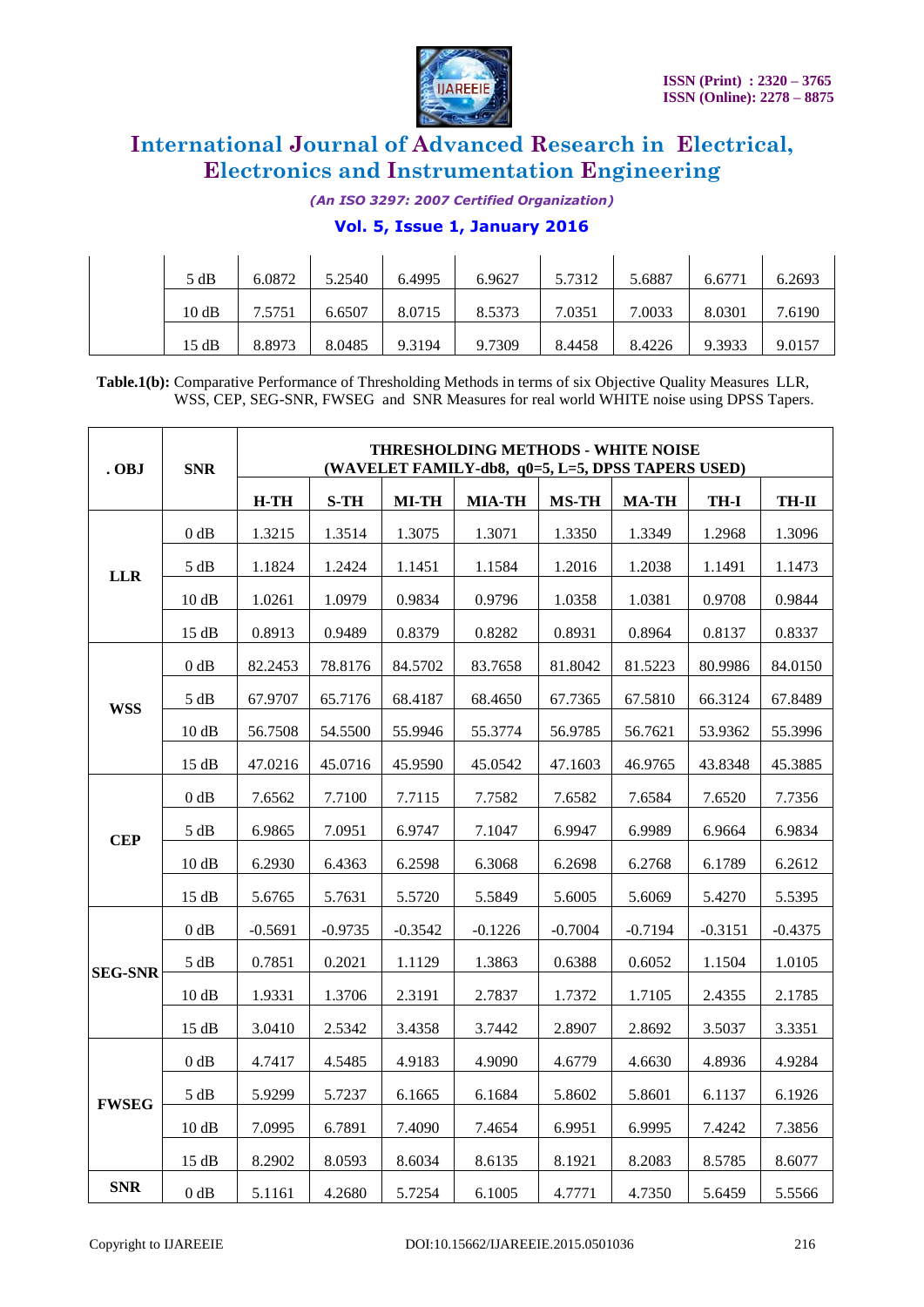

*(An ISO 3297: 2007 Certified Organization)*

#### **Vol. 5, Issue 1, January 2016**

| 5 dB  | 6.0872 | 5.2540 | 6.4995 | 6.9627 | 5.7312 | 5.6887 | 6.6771 | 6.2693 |
|-------|--------|--------|--------|--------|--------|--------|--------|--------|
| 10 dB | 7.5751 | 6.6507 | 8.0715 | 8.5373 | 7.0351 | 7.0033 | 8.0301 | 7.6190 |
| 15 dB | 8.8973 | 8.0485 | 9.3194 | 9.7309 | 8.4458 | 8.4226 | 9.3933 | 9.0157 |

**Table.1(b):** Comparative Performance of Thresholding Methods in terms of six Objective Quality Measures LLR, WSS, CEP, SEG-SNR, FWSEG and SNR Measures for real world WHITE noise using DPSS Tapers.

| . OBJ          | <b>SNR</b> | THRESHOLDING METHODS - WHITE NOISE<br>(WAVELET FAMILY-db8, q0=5, L=5, DPSS TAPERS USED) |           |              |               |              |              |             |              |  |
|----------------|------------|-----------------------------------------------------------------------------------------|-----------|--------------|---------------|--------------|--------------|-------------|--------------|--|
|                |            | $H-TH$                                                                                  | $S-TH$    | <b>MI-TH</b> | <b>MIA-TH</b> | <b>MS-TH</b> | <b>MA-TH</b> | <b>TH-I</b> | <b>TH-II</b> |  |
| <b>LLR</b>     | 0 dB       | 1.3215                                                                                  | 1.3514    | 1.3075       | 1.3071        | 1.3350       | 1.3349       | 1.2968      | 1.3096       |  |
|                | 5 dB       | 1.1824                                                                                  | 1.2424    | 1.1451       | 1.1584        | 1.2016       | 1.2038       | 1.1491      | 1.1473       |  |
|                | 10 dB      | 1.0261                                                                                  | 1.0979    | 0.9834       | 0.9796        | 1.0358       | 1.0381       | 0.9708      | 0.9844       |  |
|                | 15 dB      | 0.8913                                                                                  | 0.9489    | 0.8379       | 0.8282        | 0.8931       | 0.8964       | 0.8137      | 0.8337       |  |
|                | 0 dB       | 82.2453                                                                                 | 78.8176   | 84.5702      | 83.7658       | 81.8042      | 81.5223      | 80.9986     | 84.0150      |  |
| <b>WSS</b>     | 5 dB       | 67.9707                                                                                 | 65.7176   | 68.4187      | 68.4650       | 67.7365      | 67.5810      | 66.3124     | 67.8489      |  |
|                | 10 dB      | 56.7508                                                                                 | 54.5500   | 55.9946      | 55.3774       | 56.9785      | 56.7621      | 53.9362     | 55.3996      |  |
|                | 15 dB      | 47.0216                                                                                 | 45.0716   | 45.9590      | 45.0542       | 47.1603      | 46.9765      | 43.8348     | 45.3885      |  |
| <b>CEP</b>     | $0$ dB     | 7.6562                                                                                  | 7.7100    | 7.7115       | 7.7582        | 7.6582       | 7.6584       | 7.6520      | 7.7356       |  |
|                | 5 dB       | 6.9865                                                                                  | 7.0951    | 6.9747       | 7.1047        | 6.9947       | 6.9989       | 6.9664      | 6.9834       |  |
|                | 10dB       | 6.2930                                                                                  | 6.4363    | 6.2598       | 6.3068        | 6.2698       | 6.2768       | 6.1789      | 6.2612       |  |
|                | 15 dB      | 5.6765                                                                                  | 5.7631    | 5.5720       | 5.5849        | 5.6005       | 5.6069       | 5.4270      | 5.5395       |  |
|                | $0$ dB     | $-0.5691$                                                                               | $-0.9735$ | $-0.3542$    | $-0.1226$     | $-0.7004$    | $-0.7194$    | $-0.3151$   | $-0.4375$    |  |
| <b>SEG-SNR</b> | 5 dB       | 0.7851                                                                                  | 0.2021    | 1.1129       | 1.3863        | 0.6388       | 0.6052       | 1.1504      | 1.0105       |  |
|                | 10dB       | 1.9331                                                                                  | 1.3706    | 2.3191       | 2.7837        | 1.7372       | 1.7105       | 2.4355      | 2.1785       |  |
|                | 15 dB      | 3.0410                                                                                  | 2.5342    | 3.4358       | 3.7442        | 2.8907       | 2.8692       | 3.5037      | 3.3351       |  |
| <b>FWSEG</b>   | 0 dB       | 4.7417                                                                                  | 4.5485    | 4.9183       | 4.9090        | 4.6779       | 4.6630       | 4.8936      | 4.9284       |  |
|                | 5 dB       | 5.9299                                                                                  | 5.7237    | 6.1665       | 6.1684        | 5.8602       | 5.8601       | 6.1137      | 6.1926       |  |
|                | 10dB       | 7.0995                                                                                  | 6.7891    | 7.4090       | 7.4654        | 6.9951       | 6.9995       | 7.4242      | 7.3856       |  |
|                | 15 dB      | 8.2902                                                                                  | 8.0593    | 8.6034       | 8.6135        | 8.1921       | 8.2083       | 8.5785      | 8.6077       |  |
| <b>SNR</b>     | $0$ dB     | 5.1161                                                                                  | 4.2680    | 5.7254       | 6.1005        | 4.7771       | 4.7350       | 5.6459      | 5.5566       |  |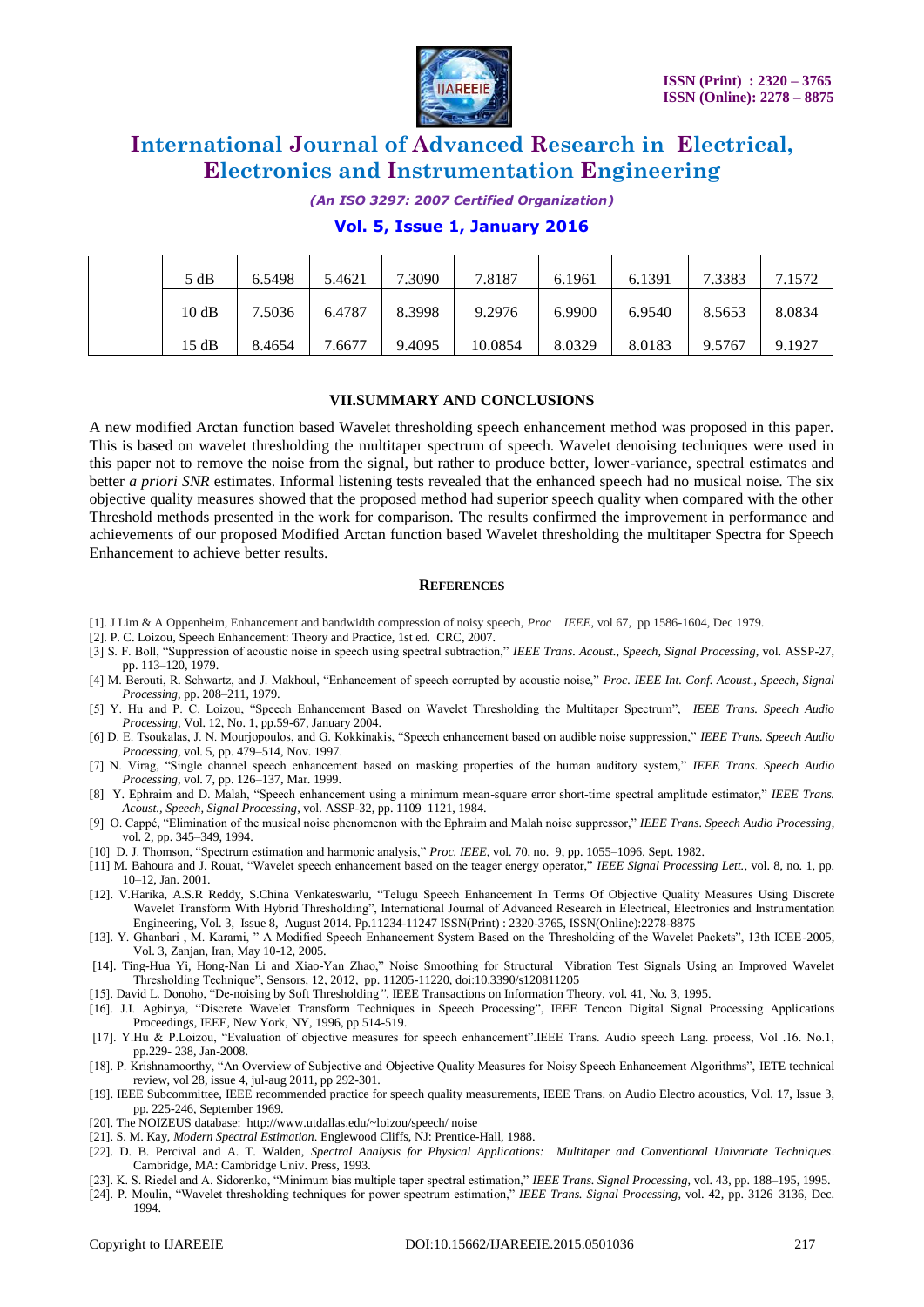

*(An ISO 3297: 2007 Certified Organization)*

#### **Vol. 5, Issue 1, January 2016**

| 5 dB  | 6.5498 | 5.4621 | 7.3090 | 7.8187  | 6.1961 | 6.1391 | 7.3383 | 7.1572 |
|-------|--------|--------|--------|---------|--------|--------|--------|--------|
| 10dB  | 7.5036 | 6.4787 | 8.3998 | 9.2976  | 6.9900 | 6.9540 | 8.5653 | 8.0834 |
| 15 dB | 8.4654 | 7.6677 | 9.4095 | 10.0854 | 8.0329 | 8.0183 | 9.5767 | 9.1927 |

#### **VII.SUMMARY AND CONCLUSIONS**

A new modified Arctan function based Wavelet thresholding speech enhancement method was proposed in this paper. This is based on wavelet thresholding the multitaper spectrum of speech. Wavelet denoising techniques were used in this paper not to remove the noise from the signal, but rather to produce better, lower-variance, spectral estimates and better *a priori SNR* estimates. Informal listening tests revealed that the enhanced speech had no musical noise. The six objective quality measures showed that the proposed method had superior speech quality when compared with the other Threshold methods presented in the work for comparison. The results confirmed the improvement in performance and achievements of our proposed Modified Arctan function based Wavelet thresholding the multitaper Spectra for Speech Enhancement to achieve better results.

#### **REFERENCES**

- [1]. J Lim & A Oppenheim, Enhancement and bandwidth compression of noisy speech, *Proc IEEE*, vol 67, pp 1586-1604, Dec 1979.
- [2]. P. C. Loizou, Speech Enhancement: Theory and Practice, 1st ed. CRC, 2007.
- [3] S. F. Boll, "Suppression of acoustic noise in speech using spectral subtraction," *IEEE Trans. Acoust., Speech, Signal Processing*, vol. ASSP-27, pp. 113–120, 1979.
- [4] M. Berouti, R. Schwartz, and J. Makhoul, "Enhancement of speech corrupted by acoustic noise," *Proc. IEEE Int. Conf. Acoust., Speech, Signal Processing*, pp. 208–211, 1979.
- [5] Y. Hu and P. C. Loizou, "Speech Enhancement Based on Wavelet Thresholding the Multitaper Spectrum", *IEEE Trans. Speech Audio Processing*, Vol. 12, No. 1, pp.59-67, January 2004.
- [6] D. E. Tsoukalas, J. N. Mourjopoulos, and G. Kokkinakis, "Speech enhancement based on audible noise suppression," *IEEE Trans. Speech Audio Processing*, vol. 5, pp. 479–514, Nov. 1997.
- [7] N. Virag, "Single channel speech enhancement based on masking properties of the human auditory system," *IEEE Trans. Speech Audio Processing*, vol. 7, pp. 126–137, Mar. 1999.
- [8] Y. Ephraim and D. Malah, "Speech enhancement using a minimum mean-square error short-time spectral amplitude estimator," *IEEE Trans. Acoust., Speech, Signal Processing*, vol. ASSP-32, pp. 1109–1121, 1984.
- [9] O. Cappé, "Elimination of the musical noise phenomenon with the Ephraim and Malah noise suppressor," *IEEE Trans. Speech Audio Processing*, vol. 2, pp. 345–349, 1994.
- [10] D. J. Thomson, "Spectrum estimation and harmonic analysis," *Proc. IEEE*, vol. 70, no. 9, pp. 1055–1096, Sept. 1982.
- [11] M. Bahoura and J. Rouat, "Wavelet speech enhancement based on the teager energy operator," *IEEE Signal Processing Lett.*, vol. 8, no. 1, pp. 10–12, Jan. 2001.
- [12]. V.Harika, A.S.R Reddy, S.China Venkateswarlu, "Telugu Speech Enhancement In Terms Of Objective Quality Measures Using Discrete Wavelet Transform With Hybrid Thresholding", International Journal of Advanced Research in Electrical, Electronics and Instrumentation Engineering, Vol. 3, Issue 8, August 2014. Pp.11234-11247 ISSN(Print) : 2320-3765, ISSN(Online):2278-8875
- [13]. Y. Ghanbari , M. Karami, " A Modified Speech Enhancement System Based on the Thresholding of the Wavelet Packets", 13th ICEE-2005, Vol. 3, Zanjan, Iran, May 10-12, 2005.
- [14]. Ting-Hua Yi, Hong-Nan Li and Xiao-Yan Zhao," Noise Smoothing for Structural Vibration Test Signals Using an Improved Wavelet Thresholding Technique", Sensors, 12, 2012, pp. 11205-11220, doi:10.3390/s120811205

[15]. David L. Donoho, "De-noising by Soft Thresholding*"*, IEEE Transactions on Information Theory, vol. 41, No. 3, 1995.

- [16]. J.I. Agbinya, "Discrete Wavelet Transform Techniques in Speech Processing", IEEE Tencon Digital Signal Processing Applications Proceedings, IEEE, New York, NY, 1996, pp 514-519.
- [17]. Y.Hu & P.Loizou, "Evaluation of objective measures for speech enhancement".IEEE Trans. Audio speech Lang. process, Vol .16. No.1, pp.229- 238, Jan-2008.
- [18]. P. Krishnamoorthy, "An Overview of Subjective and Objective Quality Measures for Noisy Speech Enhancement Algorithms", IETE technical review, vol 28, issue 4, jul-aug 2011, pp 292-301.
- [19]. IEEE Subcommittee, IEEE recommended practice for speech quality measurements, IEEE Trans. on Audio Electro acoustics, Vol. 17, Issue 3, pp. 225-246, September 1969.
- [20]. The NOIZEUS database: http://www.utdallas.edu/~loizou/speech/ noise
- [21]. S. M. Kay, *Modern Spectral Estimation*. Englewood Cliffs, NJ: Prentice-Hall, 1988.
- [22]. D. B. Percival and A. T. Walden, *Spectral Analysis for Physical Applications: Multitaper and Conventional Univariate Techniques*. Cambridge, MA: Cambridge Univ. Press, 1993.
- [23]. K. S. Riedel and A. Sidorenko, "Minimum bias multiple taper spectral estimation," *IEEE Trans. Signal Processing*, vol. 43, pp. 188–195, 1995.
- [24]. P. Moulin, "Wavelet thresholding techniques for power spectrum estimation," *IEEE Trans. Signal Processing*, vol. 42, pp. 3126–3136, Dec. 1994.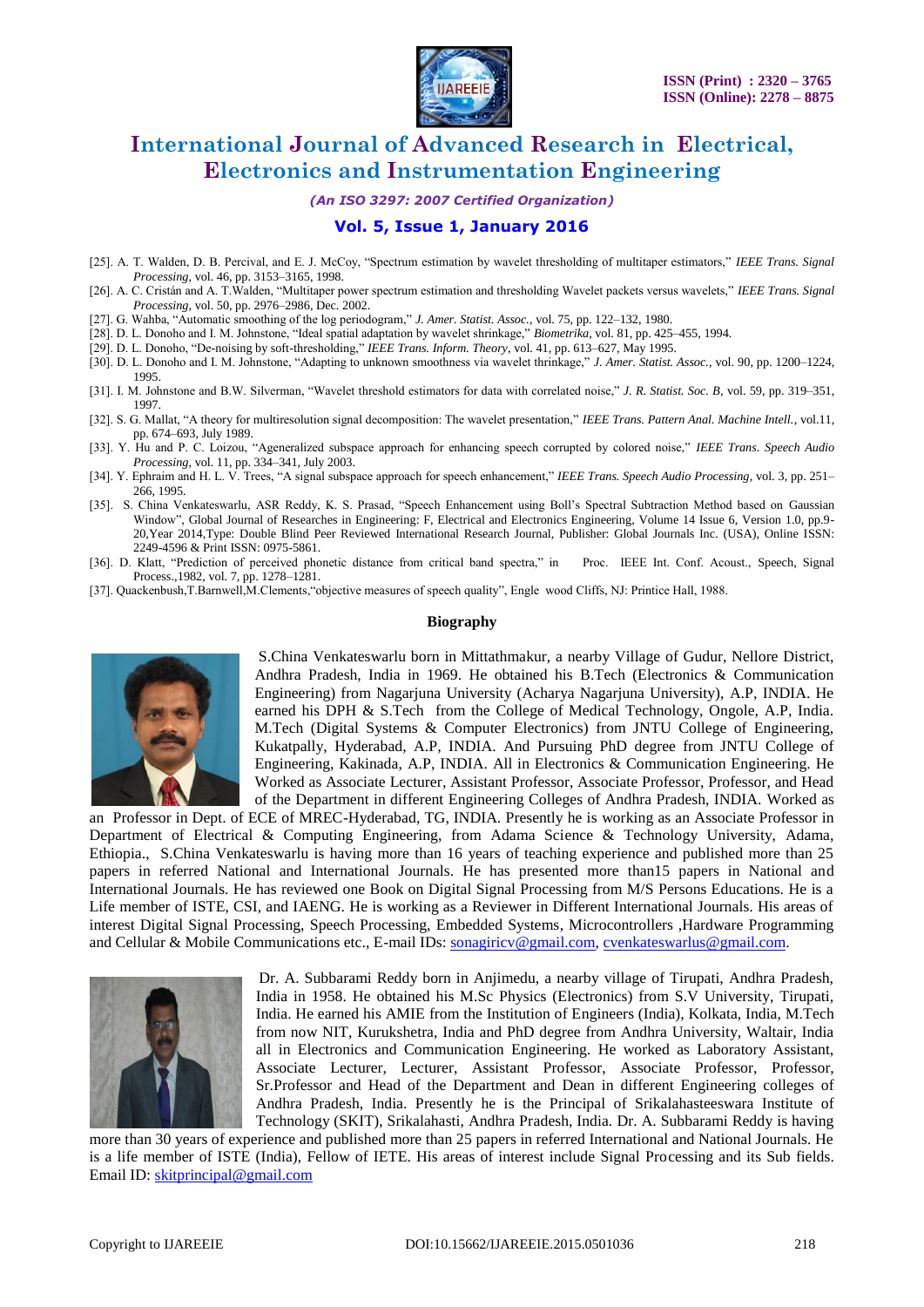

*(An ISO 3297: 2007 Certified Organization)*

### **Vol. 5, Issue 1, January 2016**

- [25]. A. T. Walden, D. B. Percival, and E. J. McCoy, "Spectrum estimation by wavelet thresholding of multitaper estimators," *IEEE Trans. Signal Processing*, vol. 46, pp. 3153–3165, 1998.
- [26]. A. C. Cristán and A. T.Walden, "Multitaper power spectrum estimation and thresholding Wavelet packets versus wavelets," *IEEE Trans. Signal Processing*, vol. 50, pp. 2976–2986, Dec. 2002.
- [27]. G. Wahba, "Automatic smoothing of the log periodogram," *J. Amer. Statist. Assoc.*, vol. 75, pp. 122–132, 1980.
- [28]. D. L. Donoho and I. M. Johnstone, "Ideal spatial adaptation by wavelet shrinkage," *Biometrika*, vol. 81, pp. 425–455, 1994.
- [29]. D. L. Donoho, "De-noising by soft-thresholding," *IEEE Trans. Inform. Theory*, vol. 41, pp. 613–627, May 1995.
- [30]. D. L. Donoho and I. M. Johnstone, "Adapting to unknown smoothness via wavelet thrinkage," *J. Amer. Statist. Assoc.*, vol. 90, pp. 1200–1224, 1995.
- [31]. I. M. Johnstone and B.W. Silverman, "Wavelet threshold estimators for data with correlated noise," *J. R. Statist. Soc. B*, vol. 59, pp. 319–351, 1997.
- [32]. S. G. Mallat, "A theory for multiresolution signal decomposition: The wavelet presentation," *IEEE Trans. Pattern Anal. Machine Intell.*, vol.11, pp. 674–693, July 1989.
- [33]. Y. Hu and P. C. Loizou, "Ageneralized subspace approach for enhancing speech corrupted by colored noise," *IEEE Trans. Speech Audio Processing*, vol. 11, pp. 334–341, July 2003.
- [34]. Y. Ephraim and H. L. V. Trees, "A signal subspace approach for speech enhancement," *IEEE Trans. Speech Audio Processing*, vol. 3, pp. 251– 266, 1995.
- [35]. S. China Venkateswarlu, ASR Reddy, K. S. Prasad, "Speech Enhancement using Boll's Spectral Subtraction Method based on Gaussian Window", Global Journal of Researches in Engineering: F, Electrical and Electronics Engineering, Volume 14 Issue 6, Version 1.0, pp.9- 20,Year 2014,Type: Double Blind Peer Reviewed International Research Journal, Publisher: Global Journals Inc. (USA), Online ISSN: 2249-4596 & Print ISSN: 0975-5861.
- [36]. D. Klatt, "Prediction of perceived phonetic distance from critical band spectra," in Proc. IEEE Int. Conf. Acoust., Speech, Signal Process.,1982, vol. 7, pp. 1278–1281.
- [37]. Quackenbush,T.Barnwell,M.Clements,"objective measures of speech quality", Engle wood Cliffs, NJ: Printice Hall, 1988.

#### **Biography**



S.China Venkateswarlu born in Mittathmakur, a nearby Village of Gudur, Nellore District, Andhra Pradesh, India in 1969. He obtained his B.Tech (Electronics & Communication Engineering) from Nagarjuna University (Acharya Nagarjuna University), A.P, INDIA. He earned his DPH & S.Tech from the College of Medical Technology, Ongole, A.P, India. M.Tech (Digital Systems & Computer Electronics) from JNTU College of Engineering, Kukatpally, Hyderabad, A.P, INDIA. And Pursuing PhD degree from JNTU College of Engineering, Kakinada, A.P, INDIA. All in Electronics & Communication Engineering. He Worked as Associate Lecturer, Assistant Professor, Associate Professor, Professor, and Head of the Department in different Engineering Colleges of Andhra Pradesh, INDIA. Worked as

an Professor in Dept. of ECE of MREC-Hyderabad, TG, INDIA. Presently he is working as an Associate Professor in Department of Electrical & Computing Engineering, from Adama Science & Technology University, Adama, Ethiopia., S.China Venkateswarlu is having more than 16 years of teaching experience and published more than 25 papers in referred National and International Journals. He has presented more than15 papers in National and International Journals. He has reviewed one Book on Digital Signal Processing from M/S Persons Educations. He is a Life member of ISTE, CSI, and IAENG. He is working as a Reviewer in Different International Journals. His areas of interest Digital Signal Processing, Speech Processing, Embedded Systems, Microcontrollers ,Hardware Programming and Cellular & Mobile Communications etc., E-mail IDs: [sonagiricv@gmail.com,](mailto:sonagiricv@gmail.com) [cvenkateswarlus@gmail.com.](mailto:cvenkateswarlus@gmail.com)



Dr. A. Subbarami Reddy born in Anjimedu, a nearby village of Tirupati, Andhra Pradesh, India in 1958. He obtained his M.Sc Physics (Electronics) from S.V University, Tirupati, India. He earned his AMIE from the Institution of Engineers (India), Kolkata, India, M.Tech from now NIT, Kurukshetra, India and PhD degree from Andhra University, Waltair, India all in Electronics and Communication Engineering. He worked as Laboratory Assistant, Associate Lecturer, Lecturer, Assistant Professor, Associate Professor, Professor, Sr.Professor and Head of the Department and Dean in different Engineering colleges of Andhra Pradesh, India. Presently he is the Principal of Srikalahasteeswara Institute of Technology (SKIT), Srikalahasti, Andhra Pradesh, India. Dr. A. Subbarami Reddy is having

more than 30 years of experience and published more than 25 papers in referred International and National Journals. He is a life member of ISTE (India), Fellow of IETE. His areas of interest include Signal Processing and its Sub fields. Email ID: [skitprincipal@gmail.com](mailto:skitprincipal@gmail.com)